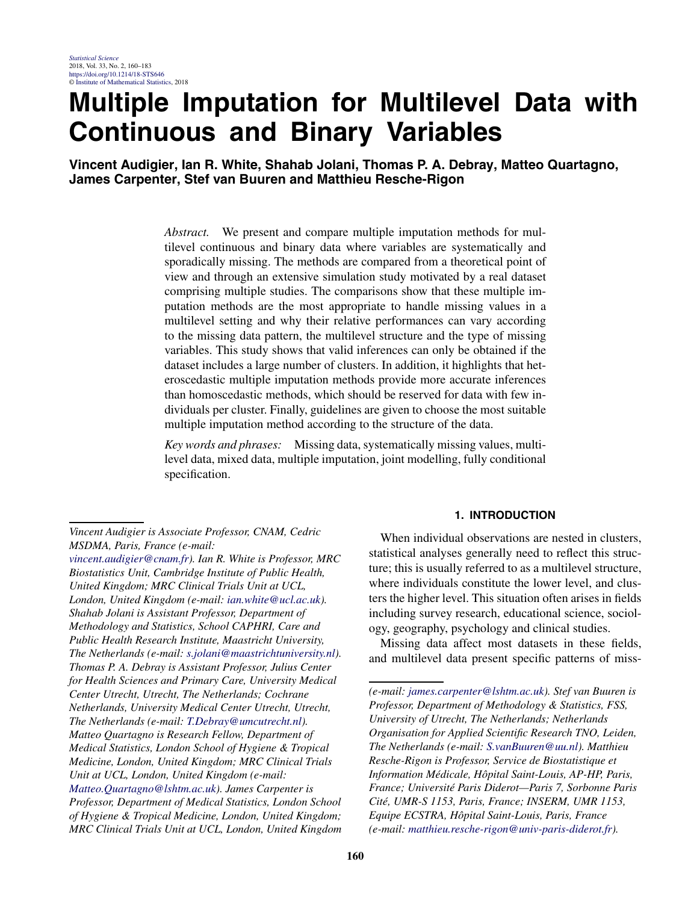# **Multiple Imputation for Multilevel Data with Continuous and Binary Variables**

**Vincent Audigier, Ian R. White, Shahab Jolani, Thomas P. A. Debray, Matteo Quartagno, James Carpenter, Stef van Buuren and Matthieu Resche-Rigon**

> *Abstract.* We present and compare multiple imputation methods for multilevel continuous and binary data where variables are systematically and sporadically missing. The methods are compared from a theoretical point of view and through an extensive simulation study motivated by a real dataset comprising multiple studies. The comparisons show that these multiple imputation methods are the most appropriate to handle missing values in a multilevel setting and why their relative performances can vary according to the missing data pattern, the multilevel structure and the type of missing variables. This study shows that valid inferences can only be obtained if the dataset includes a large number of clusters. In addition, it highlights that heteroscedastic multiple imputation methods provide more accurate inferences than homoscedastic methods, which should be reserved for data with few individuals per cluster. Finally, guidelines are given to choose the most suitable multiple imputation method according to the structure of the data.

> *Key words and phrases:* Missing data, systematically missing values, multilevel data, mixed data, multiple imputation, joint modelling, fully conditional specification.

*Vincent Audigier is Associate Professor, CNAM, Cedric MSDMA, Paris, France (e-mail:*

# **1. INTRODUCTION**

When individual observations are nested in clusters, statistical analyses generally need to reflect this structure; this is usually referred to as a multilevel structure, where individuals constitute the lower level, and clusters the higher level. This situation often arises in fields including survey research, educational science, sociology, geography, psychology and clinical studies.

Missing data affect most datasets in these fields, and multilevel data present specific patterns of miss-

*[vincent.audigier@cnam.fr\)](mailto:vincent.audigier@cnam.fr). Ian R. White is Professor, MRC Biostatistics Unit, Cambridge Institute of Public Health, United Kingdom; MRC Clinical Trials Unit at UCL, London, United Kingdom (e-mail: [ian.white@ucl.ac.uk](mailto:ian.white@ucl.ac.uk)). Shahab Jolani is Assistant Professor, Department of Methodology and Statistics, School CAPHRI, Care and Public Health Research Institute, Maastricht University, The Netherlands (e-mail: [s.jolani@maastrichtuniversity.nl\)](mailto:s.jolani@maastrichtuniversity.nl). Thomas P. A. Debray is Assistant Professor, Julius Center for Health Sciences and Primary Care, University Medical Center Utrecht, Utrecht, The Netherlands; Cochrane Netherlands, University Medical Center Utrecht, Utrecht, The Netherlands (e-mail: [T.Debray@umcutrecht.nl\)](mailto:T.Debray@umcutrecht.nl). Matteo Quartagno is Research Fellow, Department of Medical Statistics, London School of Hygiene & Tropical Medicine, London, United Kingdom; MRC Clinical Trials Unit at UCL, London, United Kingdom (e-mail: [Matteo.Quartagno@lshtm.ac.uk\)](mailto:Matteo.Quartagno@lshtm.ac.uk). James Carpenter is Professor, Department of Medical Statistics, London School of Hygiene & Tropical Medicine, London, United Kingdom; MRC Clinical Trials Unit at UCL, London, United Kingdom*

*<sup>(</sup>e-mail: [james.carpenter@lshtm.ac.uk](mailto:james.carpenter@lshtm.ac.uk)). Stef van Buuren is Professor, Department of Methodology & Statistics, FSS, University of Utrecht, The Netherlands; Netherlands Organisation for Applied Scientific Research TNO, Leiden, The Netherlands (e-mail: [S.vanBuuren@uu.nl](mailto:S.vanBuuren@uu.nl)). Matthieu Resche-Rigon is Professor, Service de Biostatistique et Information Médicale, Hôpital Saint-Louis, AP-HP, Paris, France; Université Paris Diderot—Paris 7, Sorbonne Paris Cité, UMR-S 1153, Paris, France; INSERM, UMR 1153, Equipe ECSTRA, Hôpital Saint-Louis, Paris, France (e-mail: [matthieu.resche-rigon@univ-paris-diderot.fr\)](mailto:matthieu.resche-rigon@univ-paris-diderot.fr).*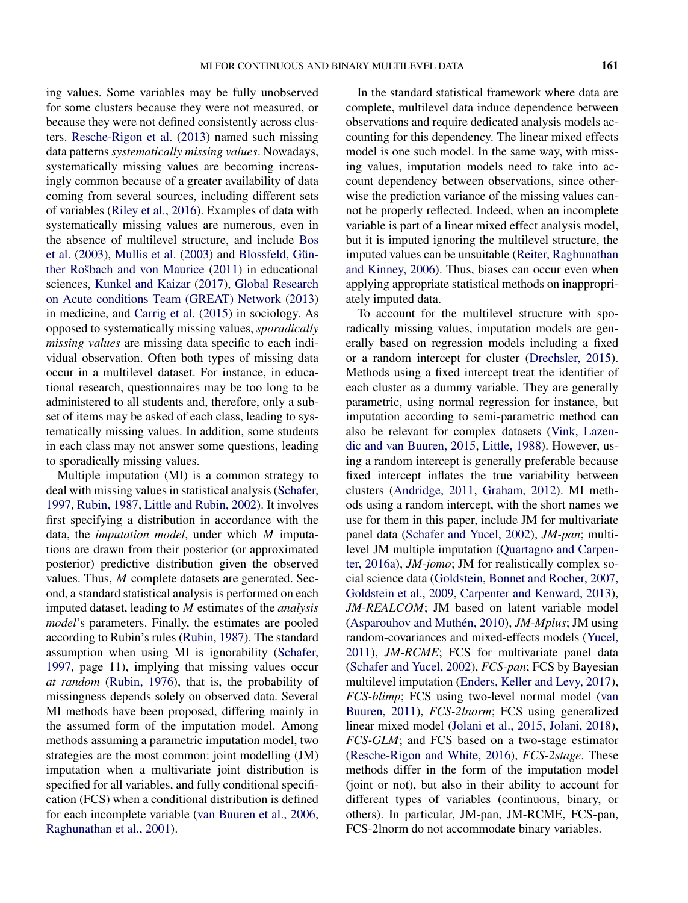ing values. Some variables may be fully unobserved for some clusters because they were not measured, or because they were not defined consistently across clusters. [Resche-Rigon et al.](#page-23-0) [\(2013\)](#page-23-0) named such missing data patterns *systematically missing values*. Nowadays, systematically missing values are becoming increasingly common because of a greater availability of data coming from several sources, including different sets of variables [\(Riley et al., 2016\)](#page-23-0). Examples of data with systematically missing values are numerous, even in the absence of multilevel structure, and include [Bos](#page-21-0) [et al.](#page-21-0) [\(2003\)](#page-21-0), [Mullis et al.](#page-22-0) [\(2003\)](#page-22-0) and [Blossfeld, Gün](#page-21-0)[ther Rosbach and von Maurice](#page-21-0)  $(2011)$  in educational sciences, [Kunkel and Kaizar](#page-22-0) [\(2017\)](#page-22-0), [Global Research](#page-22-0) [on Acute conditions Team \(GREAT\) Network](#page-22-0) [\(2013\)](#page-22-0) in medicine, and [Carrig et al.](#page-21-0) [\(2015\)](#page-21-0) in sociology. As opposed to systematically missing values, *sporadically missing values* are missing data specific to each individual observation. Often both types of missing data occur in a multilevel dataset. For instance, in educational research, questionnaires may be too long to be administered to all students and, therefore, only a subset of items may be asked of each class, leading to systematically missing values. In addition, some students in each class may not answer some questions, leading to sporadically missing values.

Multiple imputation (MI) is a common strategy to deal with missing values in statistical analysis [\(Schafer,](#page-23-0) [1997,](#page-23-0) [Rubin, 1987,](#page-23-0) [Little and Rubin, 2002\)](#page-22-0). It involves first specifying a distribution in accordance with the data, the *imputation model*, under which *M* imputations are drawn from their posterior (or approximated posterior) predictive distribution given the observed values. Thus, *M* complete datasets are generated. Second, a standard statistical analysis is performed on each imputed dataset, leading to *M* estimates of the *analysis model*'s parameters. Finally, the estimates are pooled according to Rubin's rules [\(Rubin, 1987\)](#page-23-0). The standard assumption when using MI is ignorability [\(Schafer,](#page-23-0) [1997,](#page-23-0) page 11), implying that missing values occur *at random* [\(Rubin, 1976\)](#page-23-0), that is, the probability of missingness depends solely on observed data. Several MI methods have been proposed, differing mainly in the assumed form of the imputation model. Among methods assuming a parametric imputation model, two strategies are the most common: joint modelling (JM) imputation when a multivariate joint distribution is specified for all variables, and fully conditional specification (FCS) when a conditional distribution is defined for each incomplete variable [\(van Buuren et al., 2006,](#page-23-0) [Raghunathan et al., 2001\)](#page-22-0).

In the standard statistical framework where data are complete, multilevel data induce dependence between observations and require dedicated analysis models accounting for this dependency. The linear mixed effects model is one such model. In the same way, with missing values, imputation models need to take into account dependency between observations, since otherwise the prediction variance of the missing values cannot be properly reflected. Indeed, when an incomplete variable is part of a linear mixed effect analysis model, but it is imputed ignoring the multilevel structure, the imputed values can be unsuitable [\(Reiter, Raghunathan](#page-22-0) [and Kinney, 2006\)](#page-22-0). Thus, biases can occur even when applying appropriate statistical methods on inappropriately imputed data.

To account for the multilevel structure with sporadically missing values, imputation models are generally based on regression models including a fixed or a random intercept for cluster [\(Drechsler, 2015\)](#page-21-0). Methods using a fixed intercept treat the identifier of each cluster as a dummy variable. They are generally parametric, using normal regression for instance, but imputation according to semi-parametric method can also be relevant for complex datasets [\(Vink, Lazen](#page-23-0)[dic and van Buuren, 2015,](#page-23-0) [Little, 1988\)](#page-22-0). However, using a random intercept is generally preferable because fixed intercept inflates the true variability between clusters [\(Andridge, 2011,](#page-21-0) [Graham, 2012\)](#page-22-0). MI methods using a random intercept, with the short names we use for them in this paper, include JM for multivariate panel data [\(Schafer and Yucel, 2002\)](#page-23-0), *JM-pan*; multilevel JM multiple imputation [\(Quartagno and Carpen](#page-22-0)[ter, 2016a\)](#page-22-0), *JM-jomo*; JM for realistically complex social science data [\(Goldstein, Bonnet and Rocher, 2007,](#page-22-0) [Goldstein et al., 2009,](#page-22-0) [Carpenter and Kenward, 2013\)](#page-21-0), *JM-REALCOM*; JM based on latent variable model [\(Asparouhov and Muthén, 2010\)](#page-21-0), *JM-Mplus*; JM using random-covariances and mixed-effects models [\(Yucel,](#page-23-0) [2011\)](#page-23-0), *JM-RCME*; FCS for multivariate panel data [\(Schafer and Yucel, 2002\)](#page-23-0), *FCS-pan*; FCS by Bayesian multilevel imputation [\(Enders, Keller and Levy, 2017\)](#page-21-0), *FCS-blimp*; FCS using two-level normal model [\(van](#page-23-0) [Buuren, 2011\)](#page-23-0), *FCS-2lnorm*; FCS using generalized linear mixed model [\(Jolani et al., 2015,](#page-22-0) [Jolani, 2018\)](#page-22-0), *FCS-GLM*; and FCS based on a two-stage estimator [\(Resche-Rigon and White, 2016\)](#page-22-0), *FCS-2stage*. These methods differ in the form of the imputation model (joint or not), but also in their ability to account for different types of variables (continuous, binary, or others). In particular, JM-pan, JM-RCME, FCS-pan, FCS-2lnorm do not accommodate binary variables.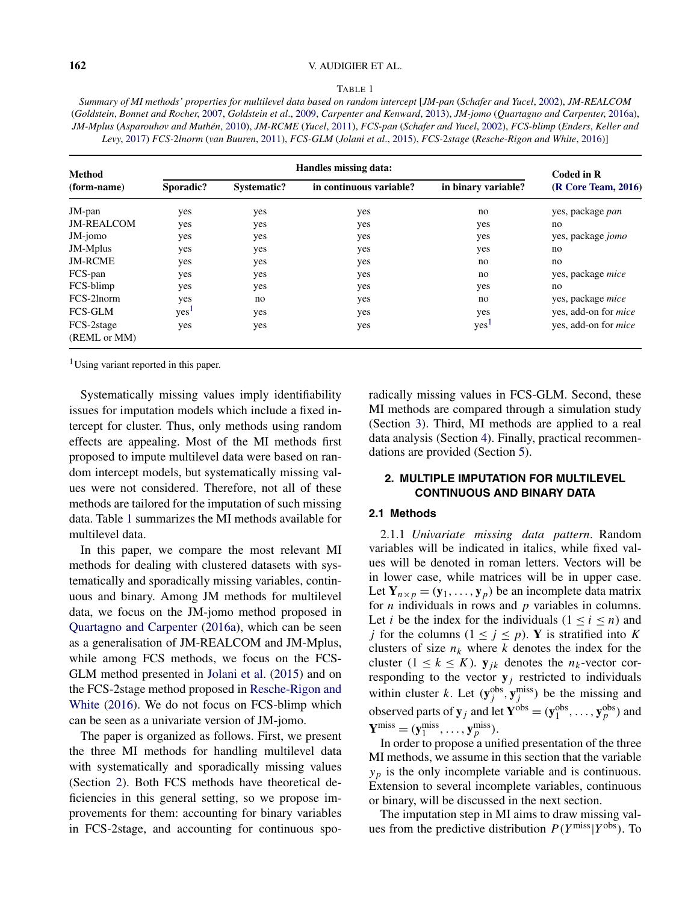### <span id="page-2-0"></span>**162** V. AUDIGIER ET AL.

#### TABLE 1

*Summary of MI methods' properties for multilevel data based on random intercept* [*JM-pan* (*Schafer and Yucel*, [2002\)](#page-23-0), *JM-REALCOM* (*Goldstein*, *Bonnet and Rocher*, [2007,](#page-22-0) *Goldstein et al*., [2009,](#page-22-0) *Carpenter and Kenward*, [2013\)](#page-21-0), *JM-jomo* (*Quartagno and Carpenter*, [2016a\)](#page-22-0), *JM-Mplus* (*Asparouhov and Muthén*, [2010\)](#page-21-0), *JM-RCME* (*Yucel*, [2011\)](#page-23-0), *FCS-pan* (*Schafer and Yucel*, [2002\)](#page-23-0), *FCS-blimp* (*Enders*, *Keller and Levy*, [2017\)](#page-21-0) *FCS-*2*lnorm* (*van Buuren*, [2011\)](#page-23-0), *FCS-GLM* (*Jolani et al*., [2015\)](#page-22-0), *FCS-*2*stage* (*Resche-Rigon and White*, [2016\)](#page-22-0)]

| <b>Method</b>              |                  | Handles missing data: |                         |                     |                                   |  |  |  |  |  |  |
|----------------------------|------------------|-----------------------|-------------------------|---------------------|-----------------------------------|--|--|--|--|--|--|
| (form-name)                | Sporadic?        | Systematic?           | in continuous variable? | in binary variable? | Coded in R<br>(R Core Team, 2016) |  |  |  |  |  |  |
| JM-pan                     | yes              | yes                   | yes                     | no                  | yes, package <i>pan</i>           |  |  |  |  |  |  |
| <b>JM-REALCOM</b>          | yes              | yes                   | yes                     | yes                 | no                                |  |  |  |  |  |  |
| JM-jomo                    | yes              | yes                   | yes                     | yes                 | yes, package jomo                 |  |  |  |  |  |  |
| JM-Mplus                   | yes              | yes                   | yes                     | yes                 | no                                |  |  |  |  |  |  |
| <b>JM-RCME</b>             | yes              | yes                   | yes                     | no                  | no                                |  |  |  |  |  |  |
| FCS-pan                    | yes              | yes                   | yes                     | no                  | yes, package <i>mice</i>          |  |  |  |  |  |  |
| FCS-blimp                  | yes              | yes                   | yes                     | yes                 | no                                |  |  |  |  |  |  |
| FCS-2lnorm                 | yes              | no                    | yes                     | no                  | yes, package <i>mice</i>          |  |  |  |  |  |  |
| <b>FCS-GLM</b>             | yes <sup>1</sup> | yes                   | yes                     | yes                 | yes, add-on for <i>mice</i>       |  |  |  |  |  |  |
| FCS-2stage<br>(REML or MM) | yes              | yes                   | yes                     | yes <sup>1</sup>    | yes, add-on for <i>mice</i>       |  |  |  |  |  |  |

 $1$ Using variant reported in this paper.

Systematically missing values imply identifiability issues for imputation models which include a fixed intercept for cluster. Thus, only methods using random effects are appealing. Most of the MI methods first proposed to impute multilevel data were based on random intercept models, but systematically missing values were not considered. Therefore, not all of these methods are tailored for the imputation of such missing data. Table 1 summarizes the MI methods available for multilevel data.

In this paper, we compare the most relevant MI methods for dealing with clustered datasets with systematically and sporadically missing variables, continuous and binary. Among JM methods for multilevel data, we focus on the JM-jomo method proposed in [Quartagno and Carpenter](#page-22-0) [\(2016a\)](#page-22-0), which can be seen as a generalisation of JM-REALCOM and JM-Mplus, while among FCS methods, we focus on the FCS-GLM method presented in [Jolani et al.](#page-22-0) [\(2015\)](#page-22-0) and on the FCS-2stage method proposed in [Resche-Rigon and](#page-22-0) [White](#page-22-0) [\(2016\)](#page-22-0). We do not focus on FCS-blimp which can be seen as a univariate version of JM-jomo.

The paper is organized as follows. First, we present the three MI methods for handling multilevel data with systematically and sporadically missing values (Section 2). Both FCS methods have theoretical deficiencies in this general setting, so we propose improvements for them: accounting for binary variables in FCS-2stage, and accounting for continuous sporadically missing values in FCS-GLM. Second, these MI methods are compared through a simulation study (Section [3\)](#page-7-0). Third, MI methods are applied to a real data analysis (Section [4\)](#page-13-0). Finally, practical recommendations are provided (Section [5\)](#page-14-0).

# **2. MULTIPLE IMPUTATION FOR MULTILEVEL CONTINUOUS AND BINARY DATA**

# **2.1 Methods**

2.1.1 *Univariate missing data pattern*. Random variables will be indicated in italics, while fixed values will be denoted in roman letters. Vectors will be in lower case, while matrices will be in upper case. Let  $Y_{n \times p} = (y_1, \ldots, y_p)$  be an incomplete data matrix for *n* individuals in rows and *p* variables in columns. Let *i* be the index for the individuals  $(1 \le i \le n)$  and *j* for the columns  $(1 \le j \le p)$ . **Y** is stratified into *K* clusters of size  $n_k$  where  $k$  denotes the index for the cluster  $(1 \leq k \leq K)$ . **y**<sub>*jk*</sub> denotes the *n<sub>k</sub>*-vector corresponding to the vector  $y_j$  restricted to individuals within cluster *k*. Let  $(\mathbf{y}_j^{\text{obs}}, \mathbf{y}_j^{\text{miss}})$  be the missing and observed parts of  $y_j$  and let  $\mathbf{Y}^{\text{obs}} = (\mathbf{y}_1^{\text{obs}}, \dots, \mathbf{y}_p^{\text{obs}})$  and  $\mathbf{Y}^{\text{miss}} = (\mathbf{y}_1^{\text{miss}}, \dots, \mathbf{y}_p^{\text{miss}}).$ 

In order to propose a unified presentation of the three MI methods, we assume in this section that the variable  $y_p$  is the only incomplete variable and is continuous. Extension to several incomplete variables, continuous or binary, will be discussed in the next section.

The imputation step in MI aims to draw missing values from the predictive distribution  $P(Y^{\text{miss}}|Y^{\text{obs}})$ . To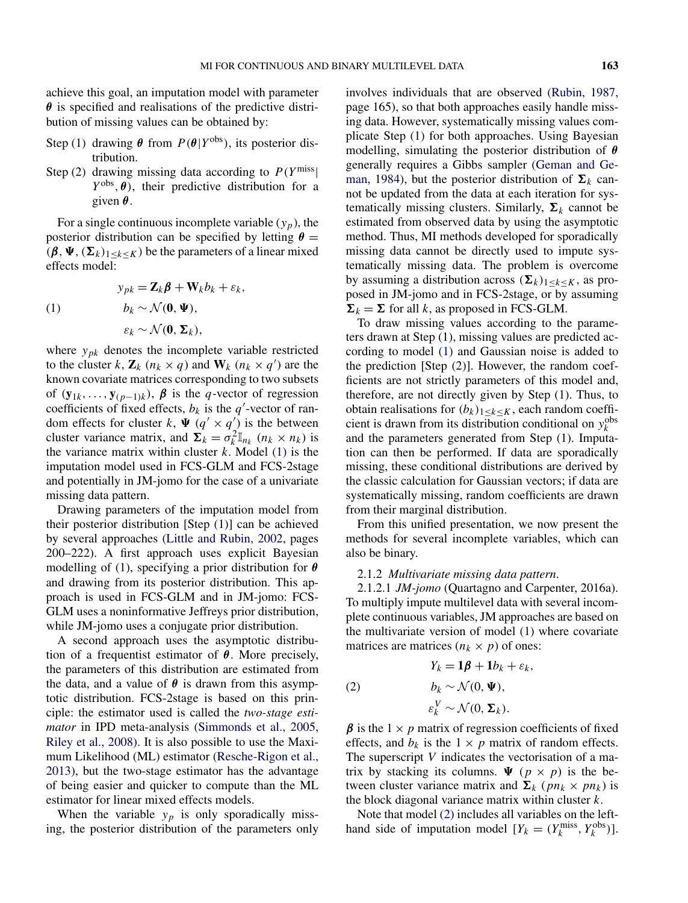<span id="page-3-0"></span>achieve this goal, an imputation model with parameter *θ* is specified and realisations of the predictive distribution of missing values can be obtained by:

- Step (1) drawing  $\theta$  from  $P(\theta|Y^{obs})$ , its posterior distribution.
- Step (2) drawing missing data according to  $P(Y^{\text{miss}})$  $Y^{\text{obs}}, \theta$ , their predictive distribution for a given *θ*.

For a single continuous incomplete variable  $(y_p)$ , the posterior distribution can be specified by letting  $\theta =$  $(\beta, \Psi, (\Sigma_k)_{1 \leq k \leq K})$  be the parameters of a linear mixed effects model:

(1)  
\n
$$
y_{pk} = \mathbf{Z}_k \boldsymbol{\beta} + \mathbf{W}_k b_k + \varepsilon_k,
$$
\n
$$
b_k \sim \mathcal{N}(\mathbf{0}, \boldsymbol{\Psi}),
$$
\n
$$
\varepsilon_k \sim \mathcal{N}(\mathbf{0}, \boldsymbol{\Sigma}_k),
$$

where  $y_{pk}$  denotes the incomplete variable restricted to the cluster *k*,  $\mathbf{Z}_k$  ( $n_k \times q$ ) and  $\mathbf{W}_k$  ( $n_k \times q'$ ) are the known covariate matrices corresponding to two subsets of  $(\mathbf{y}_{1k},..., \mathbf{y}_{(p-1)k}), \boldsymbol{\beta}$  is the *q*-vector of regression coefficients of fixed effects,  $b_k$  is the  $q'$ -vector of random effects for cluster *k*,  $\Psi$   $(q' \times q')$  is the between cluster variance matrix, and  $\Sigma_k = \sigma_k^2 \mathbb{I}_{n_k}$  ( $n_k \times n_k$ ) is the variance matrix within cluster  $k$ . Model  $(1)$  is the imputation model used in FCS-GLM and FCS-2stage and potentially in JM-jomo for the case of a univariate missing data pattern.

Drawing parameters of the imputation model from their posterior distribution [Step (1)] can be achieved by several approaches [\(Little and Rubin, 2002,](#page-22-0) pages 200–222). A first approach uses explicit Bayesian modelling of (1), specifying a prior distribution for *θ* and drawing from its posterior distribution. This approach is used in FCS-GLM and in JM-jomo: FCS-GLM uses a noninformative Jeffreys prior distribution, while JM-jomo uses a conjugate prior distribution.

A second approach uses the asymptotic distribution of a frequentist estimator of *θ*. More precisely, the parameters of this distribution are estimated from the data, and a value of  $\theta$  is drawn from this asymptotic distribution. FCS-2stage is based on this principle: the estimator used is called the *two-stage estimator* in IPD meta-analysis [\(Simmonds et al., 2005,](#page-23-0) [Riley et al., 2008\)](#page-23-0). It is also possible to use the Maximum Likelihood (ML) estimator [\(Resche-Rigon et al.,](#page-23-0) [2013\)](#page-23-0), but the two-stage estimator has the advantage of being easier and quicker to compute than the ML estimator for linear mixed effects models.

When the variable  $y_p$  is only sporadically missing, the posterior distribution of the parameters only involves individuals that are observed [\(Rubin, 1987,](#page-23-0) page 165), so that both approaches easily handle missing data. However, systematically missing values complicate Step (1) for both approaches. Using Bayesian modelling, simulating the posterior distribution of *θ* generally requires a Gibbs sampler [\(Geman and Ge](#page-22-0)[man, 1984\)](#page-22-0), but the posterior distribution of  $\Sigma_k$  cannot be updated from the data at each iteration for systematically missing clusters. Similarly,  $\Sigma_k$  cannot be estimated from observed data by using the asymptotic method. Thus, MI methods developed for sporadically missing data cannot be directly used to impute systematically missing data. The problem is overcome by assuming a distribution across  $(\mathbf{\Sigma}_k)_{1 \leq k \leq K}$ , as proposed in JM-jomo and in FCS-2stage, or by assuming  $\Sigma_k = \Sigma$  for all *k*, as proposed in FCS-GLM.

To draw missing values according to the parameters drawn at Step (1), missing values are predicted according to model (1) and Gaussian noise is added to the prediction [Step (2)]. However, the random coefficients are not strictly parameters of this model and, therefore, are not directly given by Step (1). Thus, to obtain realisations for  $(b_k)_{1 \leq k \leq K}$ , each random coefficient is drawn from its distribution conditional on  $y_k^{\text{obs}}$ and the parameters generated from Step (1). Imputation can then be performed. If data are sporadically missing, these conditional distributions are derived by the classic calculation for Gaussian vectors; if data are systematically missing, random coefficients are drawn from their marginal distribution.

From this unified presentation, we now present the methods for several incomplete variables, which can also be binary.

# 2.1.2 *Multivariate missing data pattern*.

2.1.2.1 *JM-jomo* (Quartagno and Carpenter, 2016a). To multiply impute multilevel data with several incomplete continuous variables, JM approaches are based on the multivariate version of model (1) where covariate matrices are matrices  $(n_k \times p)$  of ones:

(2)  
\n
$$
Y_k = \mathbf{1}\boldsymbol{\beta} + \mathbf{1}b_k + \varepsilon_k,
$$
\n
$$
b_k \sim \mathcal{N}(0, \boldsymbol{\Psi}),
$$
\n
$$
\varepsilon_k^V \sim \mathcal{N}(0, \boldsymbol{\Sigma}_k).
$$

 $\beta$  is the 1  $\times$  *p* matrix of regression coefficients of fixed effects, and  $b_k$  is the  $1 \times p$  matrix of random effects. The superscript *V* indicates the vectorisation of a matrix by stacking its columns.  $\Psi$  ( $p \times p$ ) is the between cluster variance matrix and  $\Sigma_k$  ( $pn_k \times pn_k$ ) is the block diagonal variance matrix within cluster *k*.

Note that model (2) includes all variables on the lefthand side of imputation model  $[Y_k = (Y_k^{\text{miss}}, Y_k^{\text{obs}})].$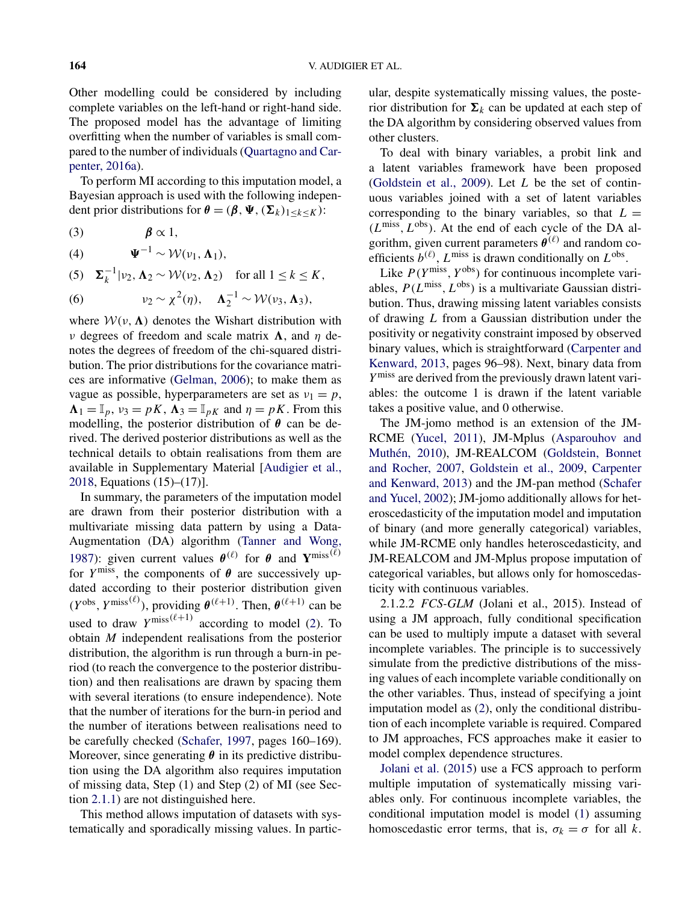Other modelling could be considered by including complete variables on the left-hand or right-hand side. The proposed model has the advantage of limiting overfitting when the number of variables is small compared to the number of individuals [\(Quartagno and Car](#page-22-0)[penter, 2016a\)](#page-22-0).

To perform MI according to this imputation model, a Bayesian approach is used with the following independent prior distributions for  $\boldsymbol{\theta} = (\boldsymbol{\beta}, \boldsymbol{\Psi}, (\boldsymbol{\Sigma}_k)_{1 \leq k \leq K})$ :

$$
(3) \hspace{1cm} \beta \propto 1,
$$

(4)  $\Psi^{-1} \sim \mathcal{W}(\nu_1, \Lambda_1),$ 

(5) 
$$
\Sigma_k^{-1} | \nu_2, \Lambda_2 \sim \mathcal{W}(\nu_2, \Lambda_2)
$$
 for all  $1 \le k \le K$ ,

(6) 
$$
v_2 \sim \chi^2(\eta), \quad \Lambda_2^{-1} \sim \mathcal{W}(v_3, \Lambda_3),
$$

where  $W(v, \Lambda)$  denotes the Wishart distribution with *ν* degrees of freedom and scale matrix **Λ**, and *η* denotes the degrees of freedom of the chi-squared distribution. The prior distributions for the covariance matrices are informative [\(Gelman, 2006\)](#page-22-0); to make them as vague as possible, hyperparameters are set as  $v_1 = p$ ,  $\Lambda_1 = \mathbb{I}_p$ ,  $\nu_3 = pK$ ,  $\Lambda_3 = \mathbb{I}_{pK}$  and  $\eta = pK$ . From this modelling, the posterior distribution of *θ* can be derived. The derived posterior distributions as well as the technical details to obtain realisations from them are available in Supplementary Material [\[Audigier et al.,](#page-21-0) [2018,](#page-21-0) Equations (15)–(17)].

In summary, the parameters of the imputation model are drawn from their posterior distribution with a multivariate missing data pattern by using a Data-Augmentation (DA) algorithm [\(Tanner and Wong,](#page-23-0) [1987\)](#page-23-0): given current values  $\theta^{(\ell)}$  for  $\theta$  and  $Y^{miss}^{(\ell)}$ for *Y*<sup>miss</sup>, the components of  $\theta$  are successively updated according to their posterior distribution given  $(Y^{\text{obs}}, Y^{\text{miss}}^{(\ell)})$ , providing  $\theta^{(\ell+1)}$ . Then,  $\theta^{(\ell+1)}$  can be used to draw  $Y^{\text{miss}(\ell+1)}$  according to model [\(2\)](#page-3-0). To obtain *M* independent realisations from the posterior distribution, the algorithm is run through a burn-in period (to reach the convergence to the posterior distribution) and then realisations are drawn by spacing them with several iterations (to ensure independence). Note that the number of iterations for the burn-in period and the number of iterations between realisations need to be carefully checked [\(Schafer, 1997,](#page-23-0) pages 160–169). Moreover, since generating  $\theta$  in its predictive distribution using the DA algorithm also requires imputation of missing data, Step (1) and Step (2) of MI (see Section [2.1.1\)](#page-2-0) are not distinguished here.

This method allows imputation of datasets with systematically and sporadically missing values. In particular, despite systematically missing values, the posterior distribution for  $\Sigma_k$  can be updated at each step of the DA algorithm by considering observed values from other clusters.

To deal with binary variables, a probit link and a latent variables framework have been proposed [\(Goldstein et al., 2009\)](#page-22-0). Let *L* be the set of continuous variables joined with a set of latent variables corresponding to the binary variables, so that  $L =$ *(L*miss*, L*obs*)*. At the end of each cycle of the DA algorithm, given current parameters  $\boldsymbol{\theta}^{(\ell)}$  and random coefficients  $b^{(\ell)}$ , *L*<sup>miss</sup> is drawn conditionally on *L*<sup>obs</sup>.

Like  $P(Y^{\text{miss}}, Y^{\text{obs}})$  for continuous incomplete variables, *P (L*miss*, L*obs*)* is a multivariate Gaussian distribution. Thus, drawing missing latent variables consists of drawing *L* from a Gaussian distribution under the positivity or negativity constraint imposed by observed binary values, which is straightforward [\(Carpenter and](#page-21-0) [Kenward, 2013,](#page-21-0) pages 96–98). Next, binary data from *Y* miss are derived from the previously drawn latent variables: the outcome 1 is drawn if the latent variable takes a positive value, and 0 otherwise.

The JM-jomo method is an extension of the JM-RCME [\(Yucel, 2011\)](#page-23-0), JM-Mplus [\(Asparouhov and](#page-21-0) [Muthén, 2010\)](#page-21-0), JM-REALCOM [\(Goldstein, Bonnet](#page-22-0) [and Rocher, 2007,](#page-22-0) [Goldstein et al., 2009,](#page-22-0) [Carpenter](#page-21-0) [and Kenward, 2013\)](#page-21-0) and the JM-pan method [\(Schafer](#page-23-0) [and Yucel, 2002\)](#page-23-0); JM-jomo additionally allows for heteroscedasticity of the imputation model and imputation of binary (and more generally categorical) variables, while JM-RCME only handles heteroscedasticity, and JM-REALCOM and JM-Mplus propose imputation of categorical variables, but allows only for homoscedasticity with continuous variables.

2.1.2.2 *FCS-GLM* (Jolani et al., 2015). Instead of using a JM approach, fully conditional specification can be used to multiply impute a dataset with several incomplete variables. The principle is to successively simulate from the predictive distributions of the missing values of each incomplete variable conditionally on the other variables. Thus, instead of specifying a joint imputation model as [\(2\)](#page-3-0), only the conditional distribution of each incomplete variable is required. Compared to JM approaches, FCS approaches make it easier to model complex dependence structures.

[Jolani et al.](#page-22-0) [\(2015\)](#page-22-0) use a FCS approach to perform multiple imputation of systematically missing variables only. For continuous incomplete variables, the conditional imputation model is model [\(1\)](#page-3-0) assuming homoscedastic error terms, that is,  $\sigma_k = \sigma$  for all *k*.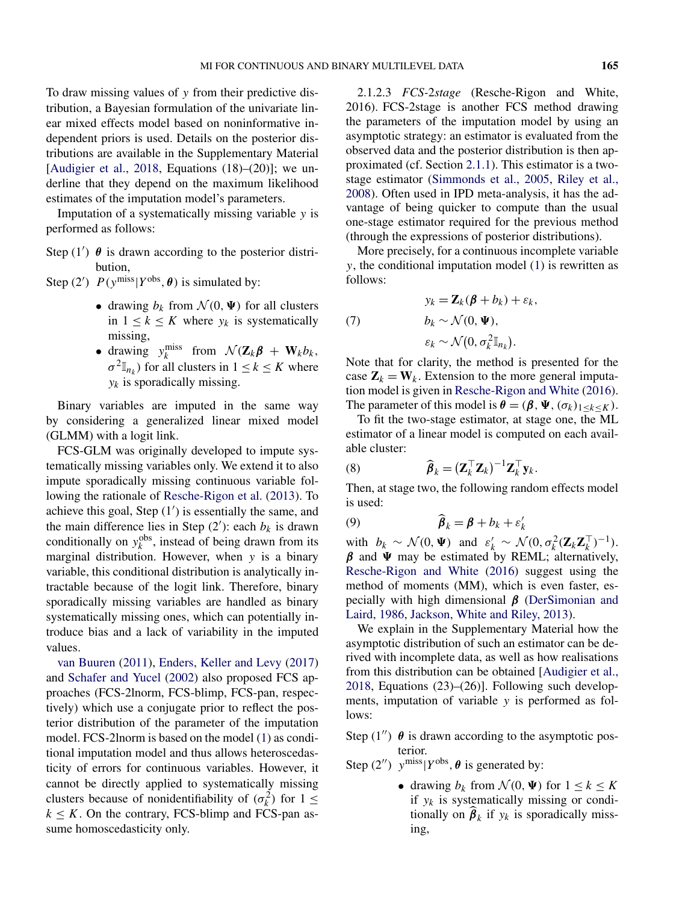<span id="page-5-0"></span>To draw missing values of *y* from their predictive distribution, a Bayesian formulation of the univariate linear mixed effects model based on noninformative independent priors is used. Details on the posterior distributions are available in the Supplementary Material [\[Audigier et al., 2018,](#page-21-0) Equations  $(18)$ – $(20)$ ]; we underline that they depend on the maximum likelihood estimates of the imputation model's parameters.

Imputation of a systematically missing variable *y* is performed as follows:

Step  $(1')$   $\theta$  is drawn according to the posterior distribution,

Step (2')  $P(y^{miss} | Y^{obs}, \theta)$  is simulated by:

- drawing  $b_k$  from  $\mathcal{N}(0, \Psi)$  for all clusters in  $1 \leq k \leq K$  where  $y_k$  is systematically missing,
- drawing  $y_k^{\text{miss}}$  from  $\mathcal{N}(\mathbf{Z}_k \boldsymbol{\beta} + \mathbf{W}_k b_k,$  $\sigma^2 \mathbb{I}_{n_k}$  *f* or all clusters in  $1 \leq k \leq K$  where *yk* is sporadically missing.

Binary variables are imputed in the same way by considering a generalized linear mixed model (GLMM) with a logit link.

FCS-GLM was originally developed to impute systematically missing variables only. We extend it to also impute sporadically missing continuous variable following the rationale of [Resche-Rigon et al.](#page-23-0) [\(2013\)](#page-23-0). To achieve this goal, Step (1 ) is essentially the same, and the main difference lies in Step  $(2')$ : each  $b_k$  is drawn conditionally on  $y_k^{\text{obs}}$ , instead of being drawn from its marginal distribution. However, when *y* is a binary variable, this conditional distribution is analytically intractable because of the logit link. Therefore, binary sporadically missing variables are handled as binary systematically missing ones, which can potentially introduce bias and a lack of variability in the imputed values.

[van Buuren](#page-23-0) [\(2011\)](#page-23-0), [Enders, Keller and Levy](#page-21-0) [\(2017\)](#page-21-0) and [Schafer and Yucel](#page-23-0) [\(2002\)](#page-23-0) also proposed FCS approaches (FCS-2lnorm, FCS-blimp, FCS-pan, respectively) which use a conjugate prior to reflect the posterior distribution of the parameter of the imputation model. FCS-2lnorm is based on the model [\(1\)](#page-3-0) as conditional imputation model and thus allows heteroscedasticity of errors for continuous variables. However, it cannot be directly applied to systematically missing clusters because of nonidentifiability of  $(\sigma_k^2)$  for  $1 \leq$  $k \leq K$ . On the contrary, FCS-blimp and FCS-pan assume homoscedasticity only.

2.1.2.3 *FCS-*2*stage* (Resche-Rigon and White, 2016). FCS-2stage is another FCS method drawing the parameters of the imputation model by using an asymptotic strategy: an estimator is evaluated from the observed data and the posterior distribution is then approximated (cf. Section [2.1.1\)](#page-2-0). This estimator is a twostage estimator [\(Simmonds et al., 2005,](#page-23-0) [Riley et al.,](#page-23-0) [2008\)](#page-23-0). Often used in IPD meta-analysis, it has the advantage of being quicker to compute than the usual one-stage estimator required for the previous method (through the expressions of posterior distributions).

More precisely, for a continuous incomplete variable *y*, the conditional imputation model [\(1\)](#page-3-0) is rewritten as follows:

(7) 
$$
y_k = \mathbf{Z}_k(\boldsymbol{\beta} + b_k) + \varepsilon_k,
$$

$$
b_k \sim \mathcal{N}(0, \boldsymbol{\Psi}),
$$

$$
\varepsilon_k \sim \mathcal{N}(0, \sigma_k^2 \mathbb{I}_{n_k}).
$$

Note that for clarity, the method is presented for the case  $\mathbf{Z}_k = \mathbf{W}_k$ . Extension to the more general imputation model is given in [Resche-Rigon and White](#page-22-0) [\(2016\)](#page-22-0). The parameter of this model is  $\theta = (\beta, \Psi, (\sigma_k)_{1 \leq k \leq K})$ .

To fit the two-stage estimator, at stage one, the ML estimator of a linear model is computed on each available cluster:

(8) 
$$
\widehat{\boldsymbol{\beta}}_k = (\mathbf{Z}_k^{\top} \mathbf{Z}_k)^{-1} \mathbf{Z}_k^{\top} \mathbf{y}_k.
$$

Then, at stage two, the following random effects model is used:

(9) 
$$
\widehat{\boldsymbol{\beta}}_k = \boldsymbol{\beta} + b_k + \varepsilon'_k
$$

with  $b_k \sim \mathcal{N}(0, \Psi)$  and  $\varepsilon'_k \sim \mathcal{N}(0, \sigma_k^2(\mathbf{Z}_k \mathbf{Z}_k^{\top})^{-1}).$  $\beta$  and  $\Psi$  may be estimated by REML; alternatively, [Resche-Rigon and White](#page-22-0) [\(2016\)](#page-22-0) suggest using the method of moments (MM), which is even faster, especially with high dimensional *β* [\(DerSimonian and](#page-21-0) [Laird, 1986,](#page-21-0) [Jackson, White and Riley, 2013\)](#page-22-0).

We explain in the Supplementary Material how the asymptotic distribution of such an estimator can be derived with incomplete data, as well as how realisations from this distribution can be obtained [\[Audigier et al.,](#page-21-0) [2018,](#page-21-0) Equations (23)–(26)]. Following such developments, imputation of variable *y* is performed as follows:

- Step  $(1'')$   $\theta$  is drawn according to the asymptotic posterior.
- Step  $(2'')$  *y*<sup>miss</sup>|*Y*<sup>obs</sup>,  $\theta$  is generated by:
	- drawing  $b_k$  from  $\mathcal{N}(0, \Psi)$  for  $1 \leq k \leq K$ if  $y_k$  is systematically missing or conditionally on  $\hat{\boldsymbol{\beta}}_k$  if  $y_k$  is sporadically missing,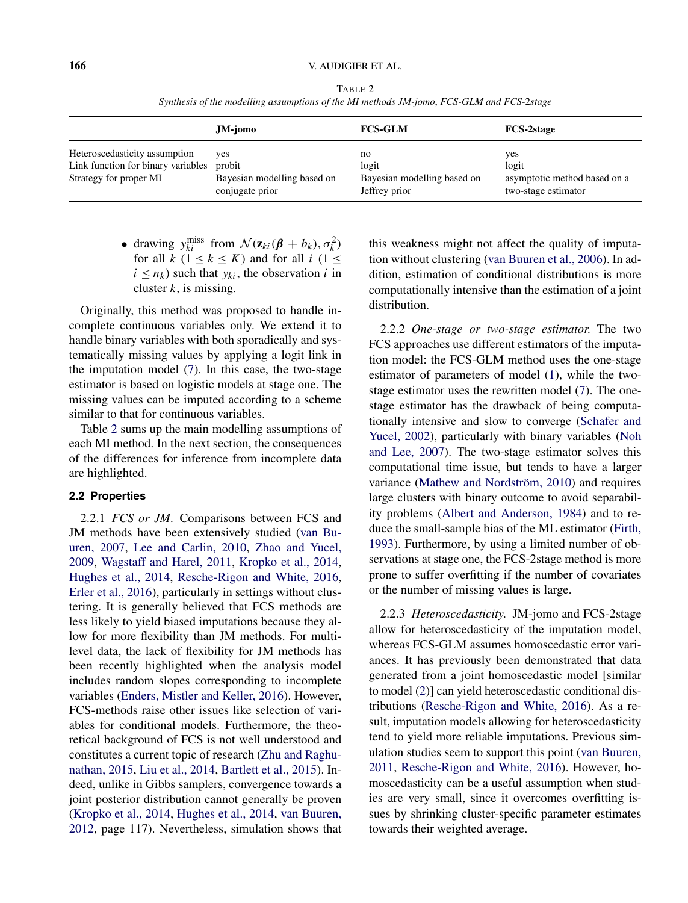TABLE 2 *Synthesis of the modelling assumptions of the MI methods JM-jomo*, *FCS-GLM and FCS-*2*stage*

<span id="page-6-0"></span>

|                                                                                               | JM-jomo                                                         | <b>FCS-GLM</b>                                              | <b>FCS-2stage</b>                                                   |
|-----------------------------------------------------------------------------------------------|-----------------------------------------------------------------|-------------------------------------------------------------|---------------------------------------------------------------------|
| Heteroscedasticity assumption<br>Link function for binary variables<br>Strategy for proper MI | yes<br>probit<br>Bayesian modelling based on<br>conjugate prior | no<br>logit<br>Bayesian modelling based on<br>Jeffrey prior | yes<br>logit<br>asymptotic method based on a<br>two-stage estimator |

• drawing  $y_{ki}^{\text{miss}}$  from  $\mathcal{N}(\mathbf{z}_{ki}(\boldsymbol{\beta}+b_k), \sigma_k^2)$ for all  $k$  ( $1 \leq k \leq K$ ) and for all  $i$  ( $1 \leq$  $i \leq n_k$ ) such that  $y_{ki}$ , the observation *i* in cluster *k*, is missing.

Originally, this method was proposed to handle incomplete continuous variables only. We extend it to handle binary variables with both sporadically and systematically missing values by applying a logit link in the imputation model [\(7\)](#page-5-0). In this case, the two-stage estimator is based on logistic models at stage one. The missing values can be imputed according to a scheme similar to that for continuous variables.

Table 2 sums up the main modelling assumptions of each MI method. In the next section, the consequences of the differences for inference from incomplete data are highlighted.

# **2.2 Properties**

2.2.1 *FCS or JM*. Comparisons between FCS and JM methods have been extensively studied [\(van Bu](#page-23-0)[uren, 2007,](#page-23-0) [Lee and Carlin, 2010,](#page-22-0) [Zhao and Yucel,](#page-23-0) [2009,](#page-23-0) [Wagstaff and Harel, 2011,](#page-23-0) [Kropko et al., 2014,](#page-22-0) [Hughes et al., 2014,](#page-22-0) [Resche-Rigon and White, 2016,](#page-22-0) [Erler et al., 2016\)](#page-21-0), particularly in settings without clustering. It is generally believed that FCS methods are less likely to yield biased imputations because they allow for more flexibility than JM methods. For multilevel data, the lack of flexibility for JM methods has been recently highlighted when the analysis model includes random slopes corresponding to incomplete variables [\(Enders, Mistler and Keller, 2016\)](#page-21-0). However, FCS-methods raise other issues like selection of variables for conditional models. Furthermore, the theoretical background of FCS is not well understood and constitutes a current topic of research [\(Zhu and Raghu](#page-23-0)[nathan, 2015,](#page-23-0) [Liu et al., 2014,](#page-22-0) [Bartlett et al., 2015\)](#page-21-0). Indeed, unlike in Gibbs samplers, convergence towards a joint posterior distribution cannot generally be proven [\(Kropko et al., 2014,](#page-22-0) [Hughes et al., 2014,](#page-22-0) [van Buuren,](#page-23-0) [2012,](#page-23-0) page 117). Nevertheless, simulation shows that this weakness might not affect the quality of imputation without clustering [\(van Buuren et al., 2006\)](#page-23-0). In addition, estimation of conditional distributions is more computationally intensive than the estimation of a joint distribution.

2.2.2 *One-stage or two-stage estimator*. The two FCS approaches use different estimators of the imputation model: the FCS-GLM method uses the one-stage estimator of parameters of model [\(1\)](#page-3-0), while the twostage estimator uses the rewritten model [\(7\)](#page-5-0). The onestage estimator has the drawback of being computationally intensive and slow to converge [\(Schafer and](#page-23-0) [Yucel, 2002\)](#page-23-0), particularly with binary variables [\(Noh](#page-22-0) [and Lee, 2007\)](#page-22-0). The two-stage estimator solves this computational time issue, but tends to have a larger variance [\(Mathew and Nordström, 2010\)](#page-22-0) and requires large clusters with binary outcome to avoid separability problems [\(Albert and Anderson, 1984\)](#page-21-0) and to reduce the small-sample bias of the ML estimator [\(Firth,](#page-22-0) [1993\)](#page-22-0). Furthermore, by using a limited number of observations at stage one, the FCS-2stage method is more prone to suffer overfitting if the number of covariates or the number of missing values is large.

2.2.3 *Heteroscedasticity*. JM-jomo and FCS-2stage allow for heteroscedasticity of the imputation model, whereas FCS-GLM assumes homoscedastic error variances. It has previously been demonstrated that data generated from a joint homoscedastic model [similar to model [\(2\)](#page-3-0)] can yield heteroscedastic conditional distributions [\(Resche-Rigon and White, 2016\)](#page-22-0). As a result, imputation models allowing for heteroscedasticity tend to yield more reliable imputations. Previous simulation studies seem to support this point [\(van Buuren,](#page-23-0) [2011,](#page-23-0) [Resche-Rigon and White, 2016\)](#page-22-0). However, homoscedasticity can be a useful assumption when studies are very small, since it overcomes overfitting issues by shrinking cluster-specific parameter estimates towards their weighted average.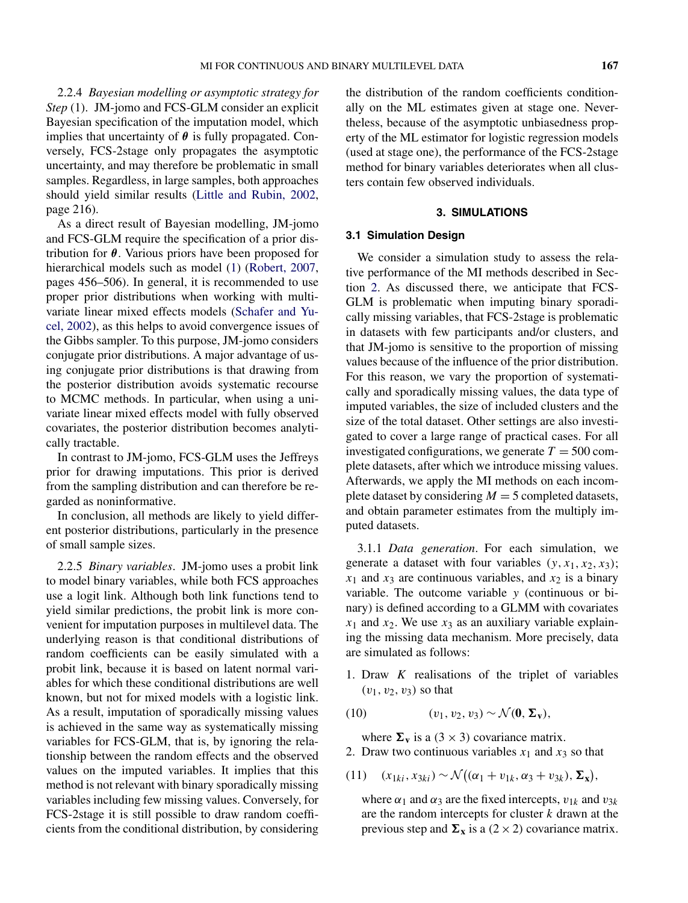<span id="page-7-0"></span>2.2.4 *Bayesian modelling or asymptotic strategy for Step* (1). JM-jomo and FCS-GLM consider an explicit Bayesian specification of the imputation model, which implies that uncertainty of  $\theta$  is fully propagated. Conversely, FCS-2stage only propagates the asymptotic uncertainty, and may therefore be problematic in small samples. Regardless, in large samples, both approaches should yield similar results [\(Little and Rubin, 2002,](#page-22-0) page 216).

As a direct result of Bayesian modelling, JM-jomo and FCS-GLM require the specification of a prior distribution for *θ*. Various priors have been proposed for hierarchical models such as model [\(1\)](#page-3-0) [\(Robert, 2007,](#page-23-0) pages 456–506). In general, it is recommended to use proper prior distributions when working with multivariate linear mixed effects models [\(Schafer and Yu](#page-23-0)[cel, 2002\)](#page-23-0), as this helps to avoid convergence issues of the Gibbs sampler. To this purpose, JM-jomo considers conjugate prior distributions. A major advantage of using conjugate prior distributions is that drawing from the posterior distribution avoids systematic recourse to MCMC methods. In particular, when using a univariate linear mixed effects model with fully observed covariates, the posterior distribution becomes analytically tractable.

In contrast to JM-jomo, FCS-GLM uses the Jeffreys prior for drawing imputations. This prior is derived from the sampling distribution and can therefore be regarded as noninformative.

In conclusion, all methods are likely to yield different posterior distributions, particularly in the presence of small sample sizes.

2.2.5 *Binary variables*. JM-jomo uses a probit link to model binary variables, while both FCS approaches use a logit link. Although both link functions tend to yield similar predictions, the probit link is more convenient for imputation purposes in multilevel data. The underlying reason is that conditional distributions of random coefficients can be easily simulated with a probit link, because it is based on latent normal variables for which these conditional distributions are well known, but not for mixed models with a logistic link. As a result, imputation of sporadically missing values is achieved in the same way as systematically missing variables for FCS-GLM, that is, by ignoring the relationship between the random effects and the observed values on the imputed variables. It implies that this method is not relevant with binary sporadically missing variables including few missing values. Conversely, for FCS-2stage it is still possible to draw random coefficients from the conditional distribution, by considering the distribution of the random coefficients conditionally on the ML estimates given at stage one. Nevertheless, because of the asymptotic unbiasedness property of the ML estimator for logistic regression models (used at stage one), the performance of the FCS-2stage method for binary variables deteriorates when all clusters contain few observed individuals.

# **3. SIMULATIONS**

# **3.1 Simulation Design**

We consider a simulation study to assess the relative performance of the MI methods described in Section [2.](#page-2-0) As discussed there, we anticipate that FCS-GLM is problematic when imputing binary sporadically missing variables, that FCS-2stage is problematic in datasets with few participants and/or clusters, and that JM-jomo is sensitive to the proportion of missing values because of the influence of the prior distribution. For this reason, we vary the proportion of systematically and sporadically missing values, the data type of imputed variables, the size of included clusters and the size of the total dataset. Other settings are also investigated to cover a large range of practical cases. For all investigated configurations, we generate  $T = 500$  complete datasets, after which we introduce missing values. Afterwards, we apply the MI methods on each incomplete dataset by considering  $M = 5$  completed datasets, and obtain parameter estimates from the multiply imputed datasets.

3.1.1 *Data generation*. For each simulation, we generate a dataset with four variables  $(y, x_1, x_2, x_3)$ ;  $x_1$  and  $x_3$  are continuous variables, and  $x_2$  is a binary variable. The outcome variable *y* (continuous or binary) is defined according to a GLMM with covariates  $x_1$  and  $x_2$ . We use  $x_3$  as an auxiliary variable explaining the missing data mechanism. More precisely, data are simulated as follows:

1. Draw *K* realisations of the triplet of variables *(v*1*, v*2*, v*3*)* so that

(10) 
$$
(v_1, v_2, v_3) \sim \mathcal{N}(\mathbf{0}, \Sigma_{\mathbf{v}}),
$$

where  $\Sigma_{\mathbf{v}}$  is a (3  $\times$  3) covariance matrix. 2. Draw two continuous variables  $x_1$  and  $x_3$  so that

$$
(11) \quad (x_{1ki}, x_{3ki}) \sim \mathcal{N}((\alpha_1 + v_{1k}, \alpha_3 + v_{3k}), \Sigma_{\mathbf{x}}),
$$

where  $\alpha_1$  and  $\alpha_3$  are the fixed intercepts,  $v_{1k}$  and  $v_{3k}$ are the random intercepts for cluster *k* drawn at the previous step and  $\Sigma_{\rm x}$  is a (2 × 2) covariance matrix.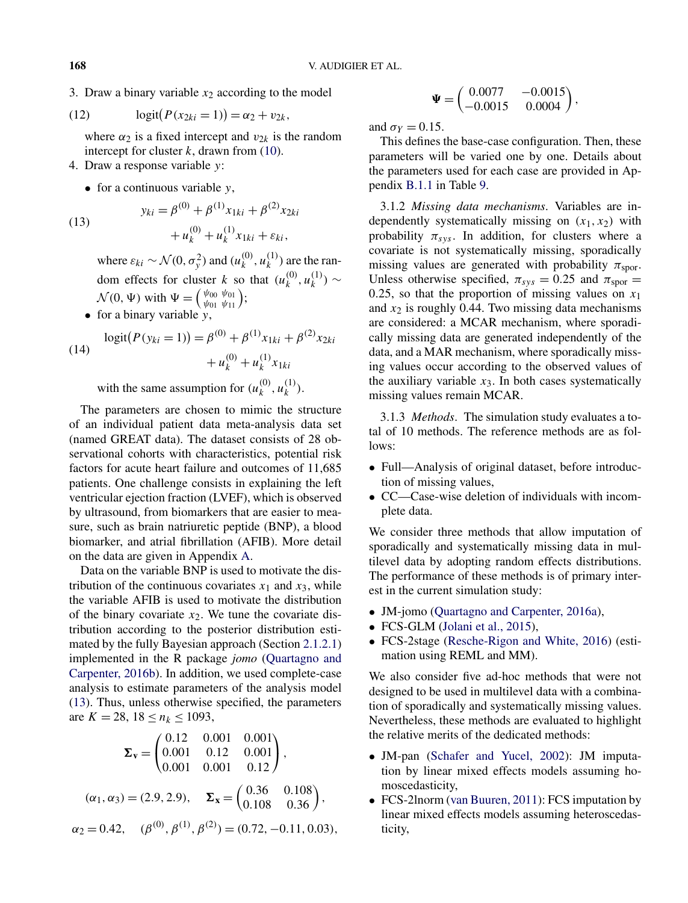<span id="page-8-0"></span>3. Draw a binary variable  $x_2$  according to the model

(12) 
$$
\text{logit}(P(x_{2ki} = 1)) = \alpha_2 + v_{2k},
$$

where  $\alpha_2$  is a fixed intercept and  $v_{2k}$  is the random intercept for cluster  $k$ , drawn from  $(10)$ .

- 4. Draw a response variable *y*:
	- for a continuous variable *y*,

(13) 
$$
y_{ki} = \beta^{(0)} + \beta^{(1)} x_{1ki} + \beta^{(2)} x_{2ki} + u_k^{(0)} + u_k^{(1)} x_{1ki} + \varepsilon_{ki},
$$

where  $\varepsilon_{ki} \sim \mathcal{N}(0, \sigma_y^2)$  and  $(u_k^{(0)}, u_k^{(1)})$  are the random effects for cluster *k* so that  $(u_k^{(0)}, u_k^{(1)}) \sim$  $\mathcal{N}(0, \Psi)$  with  $\Psi = \begin{pmatrix} \psi_{00} & \psi_{01} \\ \psi_{01} & \psi_{11} \end{pmatrix};$ 

 $+$  $\varepsilon_{ki}$ ,

• for a binary variable *y*,

(14) 
$$
\begin{aligned} \logit(P(y_{ki}=1)) &= \beta^{(0)} + \beta^{(1)}x_{1ki} + \beta^{(2)}x_{2ki} \\ &+ u_k^{(0)} + u_k^{(1)}x_{1ki} \end{aligned}
$$

with the same assumption for  $(u_k^{(0)}, u_k^{(1)})$ .

The parameters are chosen to mimic the structure of an individual patient data meta-analysis data set (named GREAT data). The dataset consists of 28 observational cohorts with characteristics, potential risk factors for acute heart failure and outcomes of 11,685 patients. One challenge consists in explaining the left ventricular ejection fraction (LVEF), which is observed by ultrasound, from biomarkers that are easier to measure, such as brain natriuretic peptide (BNP), a blood biomarker, and atrial fibrillation (AFIB). More detail on the data are given in Appendix [A.](#page-17-0)

Data on the variable BNP is used to motivate the distribution of the continuous covariates  $x_1$  and  $x_3$ , while the variable AFIB is used to motivate the distribution of the binary covariate  $x_2$ . We tune the covariate distribution according to the posterior distribution estimated by the fully Bayesian approach (Section [2.1.2.1\)](#page-3-0) implemented in the R package *jomo* [\(Quartagno and](#page-22-0) [Carpenter, 2016b\)](#page-22-0). In addition, we used complete-case analysis to estimate parameters of the analysis model (13). Thus, unless otherwise specified, the parameters are  $K = 28$ ,  $18 \le n_k \le 1093$ ,

$$
\Sigma_{\mathbf{v}} = \begin{pmatrix} 0.12 & 0.001 & 0.001 \\ 0.001 & 0.12 & 0.001 \\ 0.001 & 0.001 & 0.12 \end{pmatrix},
$$
  
\n
$$
(\alpha_1, \alpha_3) = (2.9, 2.9), \quad \Sigma_{\mathbf{x}} = \begin{pmatrix} 0.36 & 0.108 \\ 0.108 & 0.36 \end{pmatrix},
$$
  
\n
$$
\alpha_2 = 0.42, \quad (\beta^{(0)}, \beta^{(1)}, \beta^{(2)}) = (0.72, -0.11, 0.03),
$$

$$
\Psi = \begin{pmatrix} 0.0077 & -0.0015 \\ -0.0015 & 0.0004 \end{pmatrix},
$$

and  $\sigma_Y = 0.15$ .

This defines the base-case configuration. Then, these parameters will be varied one by one. Details about the parameters used for each case are provided in Appendix [B.1.1](#page-18-0) in Table [9.](#page-20-0)

3.1.2 *Missing data mechanisms*. Variables are independently systematically missing on  $(x_1, x_2)$  with probability  $\pi_{sys}$ . In addition, for clusters where a covariate is not systematically missing, sporadically missing values are generated with probability  $\pi_{\text{spor}}$ . Unless otherwise specified,  $\pi_{sys} = 0.25$  and  $\pi_{spot} =$ 0.25, so that the proportion of missing values on  $x_1$ and  $x_2$  is roughly 0.44. Two missing data mechanisms are considered: a MCAR mechanism, where sporadically missing data are generated independently of the data, and a MAR mechanism, where sporadically missing values occur according to the observed values of the auxiliary variable  $x_3$ . In both cases systematically missing values remain MCAR.

3.1.3 *Methods*. The simulation study evaluates a total of 10 methods. The reference methods are as follows:

- Full—Analysis of original dataset, before introduction of missing values,
- CC—Case-wise deletion of individuals with incomplete data.

We consider three methods that allow imputation of sporadically and systematically missing data in multilevel data by adopting random effects distributions. The performance of these methods is of primary interest in the current simulation study:

- JM-jomo [\(Quartagno and Carpenter, 2016a\)](#page-22-0),
- FCS-GLM [\(Jolani et al., 2015\)](#page-22-0),
- FCS-2stage [\(Resche-Rigon and White, 2016\)](#page-22-0) (estimation using REML and MM).

We also consider five ad-hoc methods that were not designed to be used in multilevel data with a combination of sporadically and systematically missing values. Nevertheless, these methods are evaluated to highlight the relative merits of the dedicated methods:

- JM-pan [\(Schafer and Yucel, 2002\)](#page-23-0): JM imputation by linear mixed effects models assuming homoscedasticity,
- FCS-2lnorm [\(van Buuren, 2011\)](#page-23-0): FCS imputation by linear mixed effects models assuming heteroscedasticity,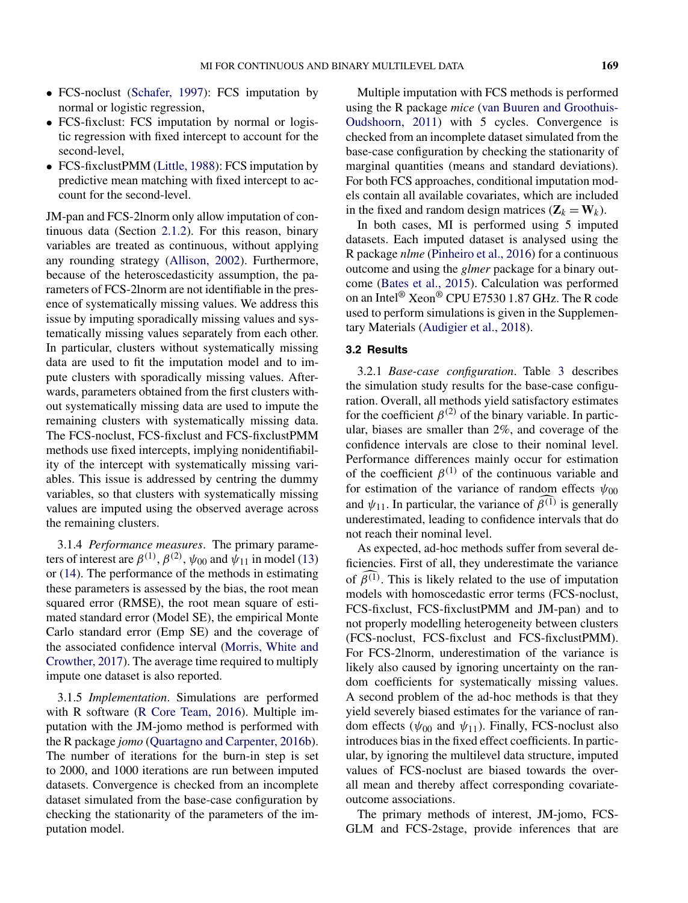- FCS-noclust [\(Schafer, 1997\)](#page-23-0): FCS imputation by normal or logistic regression,
- FCS-fixclust: FCS imputation by normal or logistic regression with fixed intercept to account for the second-level,
- FCS-fixclustPMM [\(Little, 1988\)](#page-22-0): FCS imputation by predictive mean matching with fixed intercept to account for the second-level.

JM-pan and FCS-2lnorm only allow imputation of continuous data (Section [2.1.2\)](#page-3-0). For this reason, binary variables are treated as continuous, without applying any rounding strategy [\(Allison, 2002\)](#page-21-0). Furthermore, because of the heteroscedasticity assumption, the parameters of FCS-2lnorm are not identifiable in the presence of systematically missing values. We address this issue by imputing sporadically missing values and systematically missing values separately from each other. In particular, clusters without systematically missing data are used to fit the imputation model and to impute clusters with sporadically missing values. Afterwards, parameters obtained from the first clusters without systematically missing data are used to impute the remaining clusters with systematically missing data. The FCS-noclust, FCS-fixclust and FCS-fixclustPMM methods use fixed intercepts, implying nonidentifiability of the intercept with systematically missing variables. This issue is addressed by centring the dummy variables, so that clusters with systematically missing values are imputed using the observed average across the remaining clusters.

3.1.4 *Performance measures*. The primary parameters of interest are  $\beta^{(1)}$ ,  $\beta^{(2)}$ ,  $\psi_{00}$  and  $\psi_{11}$  in model [\(13\)](#page-8-0) or [\(14\)](#page-8-0). The performance of the methods in estimating these parameters is assessed by the bias, the root mean squared error (RMSE), the root mean square of estimated standard error (Model SE), the empirical Monte Carlo standard error (Emp SE) and the coverage of the associated confidence interval [\(Morris, White and](#page-22-0) [Crowther, 2017\)](#page-22-0). The average time required to multiply impute one dataset is also reported.

3.1.5 *Implementation*. Simulations are performed with R software [\(R Core Team, 2016\)](#page-23-0). Multiple imputation with the JM-jomo method is performed with the R package *jomo* [\(Quartagno and Carpenter, 2016b\)](#page-22-0). The number of iterations for the burn-in step is set to 2000, and 1000 iterations are run between imputed datasets. Convergence is checked from an incomplete dataset simulated from the base-case configuration by checking the stationarity of the parameters of the imputation model.

Multiple imputation with FCS methods is performed using the R package *mice* [\(van Buuren and Groothuis-](#page-23-0)[Oudshoorn, 2011\)](#page-23-0) with 5 cycles. Convergence is checked from an incomplete dataset simulated from the base-case configuration by checking the stationarity of marginal quantities (means and standard deviations). For both FCS approaches, conditional imputation models contain all available covariates, which are included in the fixed and random design matrices  $(\mathbf{Z}_k = \mathbf{W}_k)$ .

In both cases, MI is performed using 5 imputed datasets. Each imputed dataset is analysed using the R package *nlme* [\(Pinheiro et al., 2016\)](#page-22-0) for a continuous outcome and using the *glmer* package for a binary outcome [\(Bates et al., 2015\)](#page-21-0). Calculation was performed on an Intel® Xeon® CPU E7530 1.87 GHz. The R code used to perform simulations is given in the Supplementary Materials [\(Audigier et al., 2018\)](#page-21-0).

# **3.2 Results**

3.2.1 *Base-case configuration*. Table [3](#page-10-0) describes the simulation study results for the base-case configuration. Overall, all methods yield satisfactory estimates for the coefficient  $\beta^{(2)}$  of the binary variable. In particular, biases are smaller than 2%, and coverage of the confidence intervals are close to their nominal level. Performance differences mainly occur for estimation of the coefficient  $\beta^{(1)}$  of the continuous variable and for estimation of the variance of random effects  $\psi_{00}$ and  $\psi_{11}$ . In particular, the variance of  $\beta^{(1)}$  is generally underestimated, leading to confidence intervals that do not reach their nominal level.

As expected, ad-hoc methods suffer from several deficiencies. First of all, they underestimate the variance of  $\beta^{(1)}$ . This is likely related to the use of imputation models with homoscedastic error terms (FCS-noclust, FCS-fixclust, FCS-fixclustPMM and JM-pan) and to not properly modelling heterogeneity between clusters (FCS-noclust, FCS-fixclust and FCS-fixclustPMM). For FCS-2lnorm, underestimation of the variance is likely also caused by ignoring uncertainty on the random coefficients for systematically missing values. A second problem of the ad-hoc methods is that they yield severely biased estimates for the variance of random effects ( $\psi_{00}$  and  $\psi_{11}$ ). Finally, FCS-noclust also introduces bias in the fixed effect coefficients. In particular, by ignoring the multilevel data structure, imputed values of FCS-noclust are biased towards the overall mean and thereby affect corresponding covariateoutcome associations.

The primary methods of interest, JM-jomo, FCS-GLM and FCS-2stage, provide inferences that are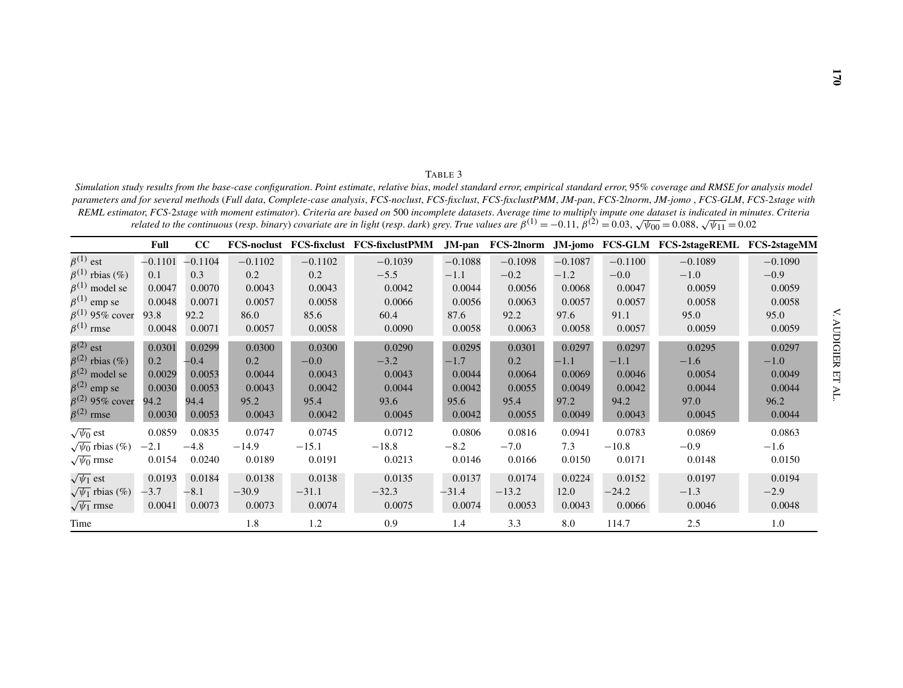<span id="page-10-0"></span>

|                            | TABLE 3<br>Simulation study results from the base-case configuration. Point estimate, relative bias, model standard error, empirical standard error, 95% coverage and RMSE for analysis model |           |           |           |                                          |           |                   |           |           |                                                                                                                                                                                                                                                                                                                                                                                             |                     |                        |
|----------------------------|-----------------------------------------------------------------------------------------------------------------------------------------------------------------------------------------------|-----------|-----------|-----------|------------------------------------------|-----------|-------------------|-----------|-----------|---------------------------------------------------------------------------------------------------------------------------------------------------------------------------------------------------------------------------------------------------------------------------------------------------------------------------------------------------------------------------------------------|---------------------|------------------------|
|                            |                                                                                                                                                                                               |           |           |           |                                          |           |                   |           |           | parameters and for several methods (Full data, Complete-case analysis, FCS-noclust, FCS-fixclust, FCS-fixclustPMM, JM-pan, FCS-2Inorm, JM-jomo, FCS-GLM, FCS-2stage with                                                                                                                                                                                                                    |                     |                        |
|                            |                                                                                                                                                                                               |           |           |           |                                          |           |                   |           |           | REML estimator, FCS-2stage with moment estimator). Criteria are based on 500 incomplete datasets. Average time to multiply impute one dataset is indicated in minutes. Criteria<br>related to the continuous (resp. binary) covariate are in light (resp. dark) grey. True values are $\beta^{(1)} = -0.11$ , $\beta^{(2)} = 0.03$ , $\sqrt{\psi_{00}} = 0.088$ , $\sqrt{\psi_{11}} = 0.02$ |                     |                        |
|                            |                                                                                                                                                                                               |           |           |           |                                          |           |                   |           |           |                                                                                                                                                                                                                                                                                                                                                                                             |                     |                        |
|                            | Full                                                                                                                                                                                          | cc        |           |           | FCS-noclust FCS-fixclust FCS-fixclustPMM |           | JM-pan FCS-2lnorm |           |           | JM-jomo FCS-GLM FCS-2stageREML                                                                                                                                                                                                                                                                                                                                                              | <b>FCS-2stageMM</b> |                        |
| $\beta^{(1)}$ est          | $-0.1101$                                                                                                                                                                                     | $-0.1104$ | $-0.1102$ | $-0.1102$ | $-0.1039$                                | $-0.1088$ | $-0.1098$         | $-0.1087$ | $-0.1100$ | $-0.1089$                                                                                                                                                                                                                                                                                                                                                                                   | $-0.1090$           |                        |
| $\beta^{(1)}$ rbias (%)    | 0.1                                                                                                                                                                                           | 0.3       | 0.2       | 0.2       | $-5.5$                                   | $-1.1$    | $-0.2$            | $-1.2$    | $-0.0$    | $-1.0$                                                                                                                                                                                                                                                                                                                                                                                      | $-0.9$              |                        |
| $\beta^{(1)}$ model se     | 0.0047                                                                                                                                                                                        | 0.0070    | 0.0043    | 0.0043    | 0.0042                                   | 0.0044    | 0.0056            | 0.0068    | 0.0047    | 0.0059                                                                                                                                                                                                                                                                                                                                                                                      | 0.0059              |                        |
| $\beta^{(1)}$ emp se       | 0.0048                                                                                                                                                                                        | 0.0071    | 0.0057    | 0.0058    | 0.0066                                   | 0.0056    | 0.0063            | 0.0057    | 0.0057    | 0.0058                                                                                                                                                                                                                                                                                                                                                                                      | 0.0058              |                        |
| $\beta^{(1)}$ 95% cover    | 93.8                                                                                                                                                                                          | 92.2      | 86.0      | 85.6      | 60.4                                     | 87.6      | 92.2              | 97.6      | 91.1      | 95.0                                                                                                                                                                                                                                                                                                                                                                                        | 95.0                |                        |
| $\beta^{(1)}$ rmse         | 0.0048                                                                                                                                                                                        | 0.0071    | 0.0057    | 0.0058    | 0.0090                                   | 0.0058    | 0.0063            | 0.0058    | 0.0057    | 0.0059                                                                                                                                                                                                                                                                                                                                                                                      | 0.0059              |                        |
| $\beta^{(2)}$ est          | 0.0301                                                                                                                                                                                        | 0.0299    | 0.0300    | 0.0300    | 0.0290                                   | 0.0295    | 0.0301            | 0.0297    | 0.0297    | 0.0295                                                                                                                                                                                                                                                                                                                                                                                      | 0.0297              | <b>AUDIGIER ET AL.</b> |
| $\beta^{(2)}$ rbias $(\%)$ | 0.2                                                                                                                                                                                           | $-0.4$    | 0.2       | $-0.0$    | $-3.2$                                   | $-1.7$    | 0.2               | $-1.1$    | $-1.1$    | $-1.6$                                                                                                                                                                                                                                                                                                                                                                                      | $-1.0$              |                        |
| $\beta^{(2)}$ model se     | 0.0029                                                                                                                                                                                        | 0.0053    | 0.0044    | 0.0043    | 0.0043                                   | 0.0044    | 0.0064            | 0.0069    | 0.0046    | 0.0054                                                                                                                                                                                                                                                                                                                                                                                      | 0.0049              |                        |
| $\beta^{(2)}$ emp se       | 0.0030                                                                                                                                                                                        | 0.0053    | 0.0043    | 0.0042    | 0.0044                                   | 0.0042    | 0.0055            | 0.0049    | 0.0042    | 0.0044                                                                                                                                                                                                                                                                                                                                                                                      | 0.0044              |                        |
| $\beta^{(2)}$ 95% cover    | 94.2                                                                                                                                                                                          | 94.4      | 95.2      | 95.4      | 93.6                                     | 95.6      | 95.4              | 97.2      | 94.2      | 97.0                                                                                                                                                                                                                                                                                                                                                                                        | 96.2                |                        |
| $\beta^{(2)}$ rmse         | 0.0030                                                                                                                                                                                        | 0.0053    | 0.0043    | 0.0042    | 0.0045                                   | 0.0042    | 0.0055            | 0.0049    | 0.0043    | 0.0045                                                                                                                                                                                                                                                                                                                                                                                      | 0.0044              |                        |
| $\sqrt{\psi_0}$ est        | 0.0859                                                                                                                                                                                        | 0.0835    | 0.0747    | 0.0745    | 0.0712                                   | 0.0806    | 0.0816            | 0.0941    | 0.0783    | 0.0869                                                                                                                                                                                                                                                                                                                                                                                      | 0.0863              |                        |
| $\sqrt{\psi_0}$ rbias (%)  | $-2.1$                                                                                                                                                                                        | $-4.8$    | $-14.9$   | $-15.1$   | $-18.8$                                  | $-8.2$    | $-7.0$            | 7.3       | $-10.8$   | $-0.9$                                                                                                                                                                                                                                                                                                                                                                                      | $-1.6$              |                        |
| $\sqrt{\psi_0}$ rmse       | 0.0154                                                                                                                                                                                        | 0.0240    | 0.0189    | 0.0191    | 0.0213                                   | 0.0146    | 0.0166            | 0.0150    | 0.0171    | 0.0148                                                                                                                                                                                                                                                                                                                                                                                      | 0.0150              |                        |
| $\sqrt{\psi_1}$ est        | 0.0193                                                                                                                                                                                        | 0.0184    | 0.0138    | 0.0138    | 0.0135                                   | 0.0137    | 0.0174            | 0.0224    | 0.0152    | 0.0197                                                                                                                                                                                                                                                                                                                                                                                      | 0.0194              |                        |
| $\sqrt{\psi_1}$ rbias (%)  | $-3.7$                                                                                                                                                                                        | $-8.1$    | $-30.9$   | $-31.1$   | $-32.3$                                  | $-31.4$   | $-13.2$           | 12.0      | $-24.2$   | $-1.3$                                                                                                                                                                                                                                                                                                                                                                                      | $-2.9$              |                        |
| $\sqrt{\psi_1}$ rmse       | 0.0041                                                                                                                                                                                        | 0.0073    | 0.0073    | 0.0074    | 0.0075                                   | 0.0074    | 0.0053            | 0.0043    | 0.0066    | 0.0046                                                                                                                                                                                                                                                                                                                                                                                      | 0.0048              |                        |
| Time                       |                                                                                                                                                                                               |           | 1.8       | 1.2       | 0.9                                      | 1.4       | 3.3               | 8.0       | 114.7     | 2.5                                                                                                                                                                                                                                                                                                                                                                                         | 1.0                 |                        |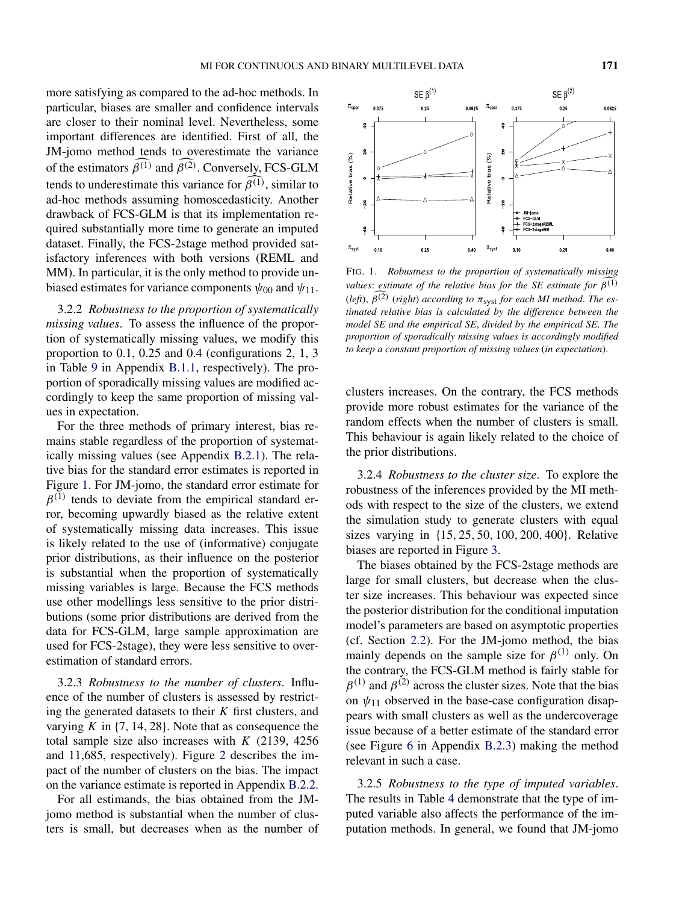more satisfying as compared to the ad-hoc methods. In particular, biases are smaller and confidence intervals are closer to their nominal level. Nevertheless, some important differences are identified. First of all, the JM-jomo method tends to overestimate the variance of the estimators  $\beta^{(1)}$  and  $\beta^{(2)}$ . Conversely, FCS-GLM tends to underestimate this variance for  $\beta^{(1)}$ , similar to ad-hoc methods assuming homoscedasticity. Another drawback of FCS-GLM is that its implementation required substantially more time to generate an imputed dataset. Finally, the FCS-2stage method provided satisfactory inferences with both versions (REML and MM). In particular, it is the only method to provide unbiased estimates for variance components  $\psi_{00}$  and  $\psi_{11}$ .

3.2.2 *Robustness to the proportion of systematically missing values*. To assess the influence of the proportion of systematically missing values, we modify this proportion to 0.1, 0.25 and 0.4 (configurations 2, 1, 3 in Table [9](#page-20-0) in Appendix [B.1.1,](#page-18-0) respectively). The proportion of sporadically missing values are modified accordingly to keep the same proportion of missing values in expectation.

For the three methods of primary interest, bias remains stable regardless of the proportion of systematically missing values (see Appendix [B.2.1\)](#page-18-0). The relative bias for the standard error estimates is reported in Figure 1. For JM-jomo, the standard error estimate for  $\beta^{(1)}$  tends to deviate from the empirical standard error, becoming upwardly biased as the relative extent of systematically missing data increases. This issue is likely related to the use of (informative) conjugate prior distributions, as their influence on the posterior is substantial when the proportion of systematically missing variables is large. Because the FCS methods use other modellings less sensitive to the prior distributions (some prior distributions are derived from the data for FCS-GLM, large sample approximation are used for FCS-2stage), they were less sensitive to overestimation of standard errors.

3.2.3 *Robustness to the number of clusters*. Influence of the number of clusters is assessed by restricting the generated datasets to their *K* first clusters, and varying *K* in {7*,* 14*,* 28}. Note that as consequence the total sample size also increases with *K* (2139, 4256 and 11,685, respectively). Figure [2](#page-12-0) describes the impact of the number of clusters on the bias. The impact on the variance estimate is reported in Appendix [B.2.2.](#page-18-0)

For all estimands, the bias obtained from the JMjomo method is substantial when the number of clusters is small, but decreases when as the number of clusters increases. On the contrary, the FCS methods provide more robust estimates for the variance of the random effects when the number of clusters is small. This behaviour is again likely related to the choice of

the prior distributions.

3.2.4 *Robustness to the cluster size*. To explore the robustness of the inferences provided by the MI methods with respect to the size of the clusters, we extend the simulation study to generate clusters with equal sizes varying in {15*,* 25*,* 50*,* 100*,* 200*,* 400}. Relative biases are reported in Figure [3.](#page-12-0)

The biases obtained by the FCS-2stage methods are large for small clusters, but decrease when the cluster size increases. This behaviour was expected since the posterior distribution for the conditional imputation model's parameters are based on asymptotic properties (cf. Section [2.2\)](#page-6-0). For the JM-jomo method, the bias mainly depends on the sample size for  $\beta^{(1)}$  only. On the contrary, the FCS-GLM method is fairly stable for  $\beta^{(1)}$  and  $\beta^{(2)}$  across the cluster sizes. Note that the bias on  $\psi_{11}$  observed in the base-case configuration disappears with small clusters as well as the undercoverage issue because of a better estimate of the standard error (see Figure [6](#page-19-0) in Appendix [B.2.3\)](#page-18-0) making the method relevant in such a case.

3.2.5 *Robustness to the type of imputed variables*. The results in Table [4](#page-13-0) demonstrate that the type of imputed variable also affects the performance of the imputation methods. In general, we found that JM-jomo

FIG. 1. *Robustness to the proportion of systematically missing values: estimate of the relative bias for the SE estimate for*  $\beta^{(1)}$ (*left*), *β (*2*)* (*right*) *according to π*syst *for each MI method*. *The estimated relative bias is calculated by the difference between the model SE and the empirical SE*, *divided by the empirical SE*. *The proportion of sporadically missing values is accordingly modified to keep a constant proportion of missing values* (*in expectation*).

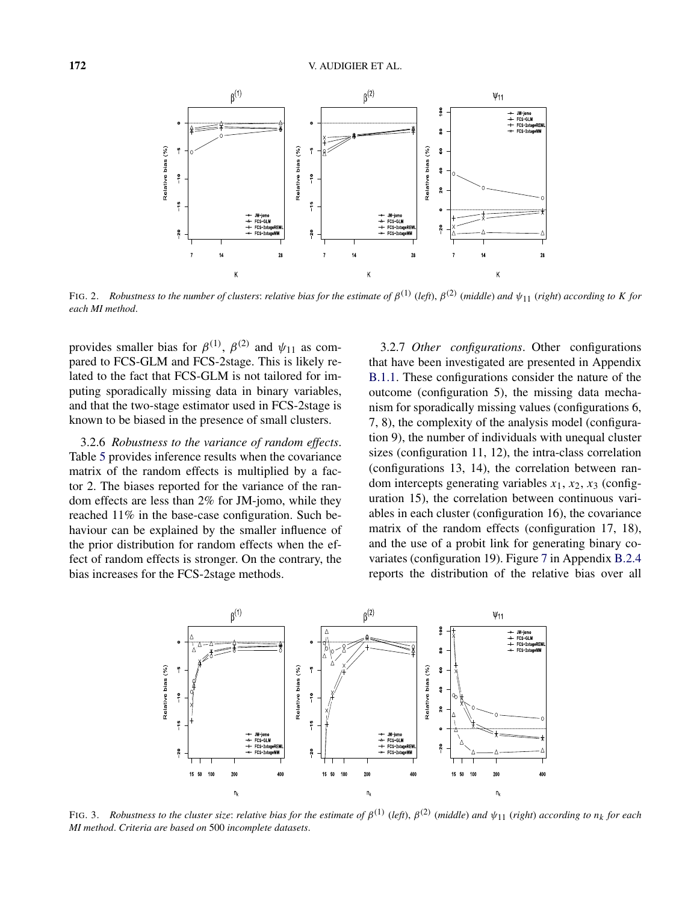<span id="page-12-0"></span>

FIG. 2. Robustness to the number of clusters: relative bias for the estimate of  $\beta^{(1)}$  (left),  $\beta^{(2)}$  (middle) and  $\psi_{11}$  (right) according to K for *each MI method*.

provides smaller bias for  $\beta^{(1)}$ ,  $\beta^{(2)}$  and  $\psi_{11}$  as compared to FCS-GLM and FCS-2stage. This is likely related to the fact that FCS-GLM is not tailored for imputing sporadically missing data in binary variables, and that the two-stage estimator used in FCS-2stage is known to be biased in the presence of small clusters.

3.2.6 *Robustness to the variance of random effects*. Table [5](#page-14-0) provides inference results when the covariance matrix of the random effects is multiplied by a factor 2. The biases reported for the variance of the random effects are less than 2% for JM-jomo, while they reached 11% in the base-case configuration. Such behaviour can be explained by the smaller influence of the prior distribution for random effects when the effect of random effects is stronger. On the contrary, the bias increases for the FCS-2stage methods.

3.2.7 *Other configurations*. Other configurations that have been investigated are presented in Appendix [B.1.1.](#page-18-0) These configurations consider the nature of the outcome (configuration 5), the missing data mechanism for sporadically missing values (configurations 6, 7, 8), the complexity of the analysis model (configuration 9), the number of individuals with unequal cluster sizes (configuration 11, 12), the intra-class correlation (configurations 13, 14), the correlation between random intercepts generating variables  $x_1$ ,  $x_2$ ,  $x_3$  (configuration 15), the correlation between continuous variables in each cluster (configuration 16), the covariance matrix of the random effects (configuration 17, 18), and the use of a probit link for generating binary covariates (configuration 19). Figure [7](#page-19-0) in Appendix [B.2.4](#page-18-0) reports the distribution of the relative bias over all



FIG. 3. Robustness to the cluster size: relative bias for the estimate of  $\beta^{(1)}$  (left),  $\beta^{(2)}$  (middle) and  $\psi_{11}$  (right) according to  $n_k$  for each *MI method*. *Criteria are based on* 500 *incomplete datasets*.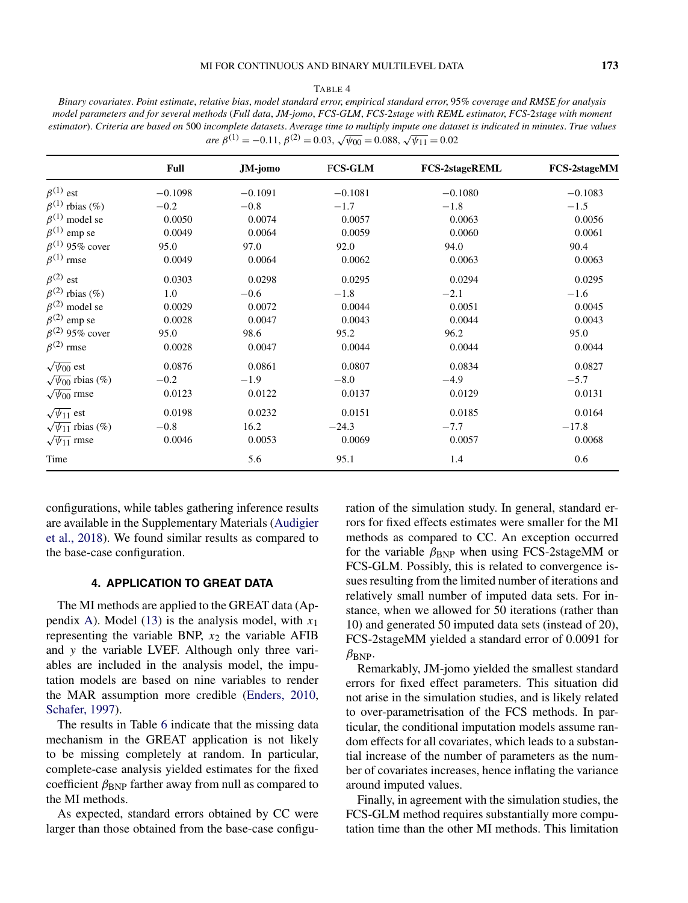#### TABLE 4

<span id="page-13-0"></span>*Binary covariates*. *Point estimate*, *relative bias*, *model standard error*, *empirical standard error*, 95*% coverage and RMSE for analysis model parameters and for several methods* (*Full data*, *JM-jomo*, *FCS-GLM*, *FCS-*2*stage with REML estimator*, *FCS-*2*stage with moment estimator*). *Criteria are based on* 500 *incomplete datasets*. *Average time to multiply impute one dataset is indicated in minutes*. *True values are*  $\hat{\beta}^{(1)} = -0.11$ ,  $\beta^{(2)} = 0.03$ ,  $\sqrt{\psi_{00}} = 0.088$ ,  $\sqrt{\psi_{11}} = 0.02$ 

|                              | Full      | JM-jomo   | <b>FCS-GLM</b> | FCS-2stageREML | FCS-2stageMM |
|------------------------------|-----------|-----------|----------------|----------------|--------------|
| $\beta^{(1)}$ est            | $-0.1098$ | $-0.1091$ | $-0.1081$      | $-0.1080$      | $-0.1083$    |
| $\beta^{(1)}$ rbias (%)      | $-0.2$    | $-0.8$    | $-1.7$         | $-1.8$         | $-1.5$       |
| $\beta^{(1)}$ model se       | 0.0050    | 0.0074    | 0.0057         | 0.0063         | 0.0056       |
| $\beta^{(1)}$ emp se         | 0.0049    | 0.0064    | 0.0059         | 0.0060         | 0.0061       |
| $\beta^{(1)}$ 95% cover      | 95.0      | 97.0      | 92.0           | 94.0           | 90.4         |
| $\beta^{(1)}$ rmse           | 0.0049    | 0.0064    | 0.0062         | 0.0063         | 0.0063       |
| $\beta^{(2)}$ est            | 0.0303    | 0.0298    | 0.0295         | 0.0294         | 0.0295       |
| $\beta^{(2)}$ rbias (%)      | 1.0       | $-0.6$    | $-1.8$         | $-2.1$         | $-1.6$       |
| $\beta^{(2)}$ model se       | 0.0029    | 0.0072    | 0.0044         | 0.0051         | 0.0045       |
| $\beta^{(2)}$ emp se         | 0.0028    | 0.0047    | 0.0043         | 0.0044         | 0.0043       |
| $\beta^{(2)}$ 95% cover      | 95.0      | 98.6      | 95.2           | 96.2           | 95.0         |
| $\beta^{(2)}$ rmse           | 0.0028    | 0.0047    | 0.0044         | 0.0044         | 0.0044       |
| $\sqrt{\psi_{00}}$ est       | 0.0876    | 0.0861    | 0.0807         | 0.0834         | 0.0827       |
| $\sqrt{\psi_{00}}$ rbias (%) | $-0.2$    | $-1.9$    | $-8.0$         | $-4.9$         | $-5.7$       |
| $\sqrt{\psi_{00}}$ rmse      | 0.0123    | 0.0122    | 0.0137         | 0.0129         | 0.0131       |
| $\sqrt{\psi_{11}}$ est       | 0.0198    | 0.0232    | 0.0151         | 0.0185         | 0.0164       |
| $\sqrt{\psi_{11}}$ rbias (%) | $-0.8$    | 16.2      | $-24.3$        | $-7.7$         | $-17.8$      |
| $\sqrt{\psi_{11}}$ rmse      | 0.0046    | 0.0053    | 0.0069         | 0.0057         | 0.0068       |
| Time                         |           | 5.6       | 95.1           | 1.4            | 0.6          |

configurations, while tables gathering inference results are available in the Supplementary Materials [\(Audigier](#page-21-0) [et al., 2018\)](#page-21-0). We found similar results as compared to the base-case configuration.

# **4. APPLICATION TO GREAT DATA**

The MI methods are applied to the GREAT data (Ap-pendix [A\)](#page-17-0). Model [\(13\)](#page-8-0) is the analysis model, with  $x_1$ representing the variable BNP,  $x_2$  the variable AFIB and *y* the variable LVEF. Although only three variables are included in the analysis model, the imputation models are based on nine variables to render the MAR assumption more credible [\(Enders, 2010,](#page-21-0) [Schafer, 1997\)](#page-23-0).

The results in Table [6](#page-14-0) indicate that the missing data mechanism in the GREAT application is not likely to be missing completely at random. In particular, complete-case analysis yielded estimates for the fixed coefficient *β*<sub>BNP</sub> farther away from null as compared to the MI methods.

As expected, standard errors obtained by CC were larger than those obtained from the base-case configuration of the simulation study. In general, standard errors for fixed effects estimates were smaller for the MI methods as compared to CC. An exception occurred for the variable  $β_{BNP}$  when using FCS-2stageMM or FCS-GLM. Possibly, this is related to convergence issues resulting from the limited number of iterations and relatively small number of imputed data sets. For instance, when we allowed for 50 iterations (rather than 10) and generated 50 imputed data sets (instead of 20), FCS-2stageMM yielded a standard error of 0.0091 for  $\beta_{BNP}$ .

Remarkably, JM-jomo yielded the smallest standard errors for fixed effect parameters. This situation did not arise in the simulation studies, and is likely related to over-parametrisation of the FCS methods. In particular, the conditional imputation models assume random effects for all covariates, which leads to a substantial increase of the number of parameters as the number of covariates increases, hence inflating the variance around imputed values.

Finally, in agreement with the simulation studies, the FCS-GLM method requires substantially more computation time than the other MI methods. This limitation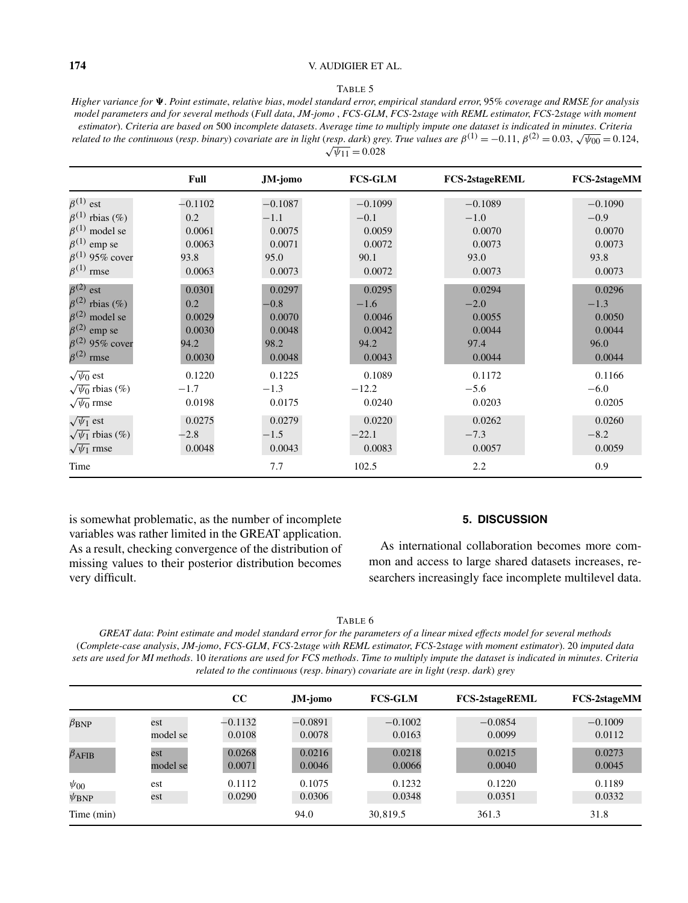# <span id="page-14-0"></span>**174** V. AUDIGIER ET AL.

#### TABLE 5

*Higher variance for* . *Point estimate*, *relative bias*, *model standard error*, *empirical standard error*, 95*% coverage and RMSE for analysis model parameters and for several methods* (*Full data*, *JM-jomo* , *FCS-GLM*, *FCS-*2*stage with REML estimator*, *FCS-*2*stage with moment estimator*). *Criteria are based on* 500 *incomplete datasets*. *Average time to multiply impute one dataset is indicated in minutes*. *Criteria* related to the continuous (resp. binary) covariate are in light (resp. dark) grey. True values are  $\beta^{(1)} = -0.11$ ,  $\beta^{(2)} = 0.03$ ,  $\sqrt{\psi_{00}} = 0.124$ ,  $\sqrt{\psi_{11}} = 0.028$ 

|                                                                                                                                                                | Full                                                   | JM-jomo                                                   | <b>FCS-GLM</b>                                            | FCS-2stageREML                                            | FCS-2stageMM                                              |
|----------------------------------------------------------------------------------------------------------------------------------------------------------------|--------------------------------------------------------|-----------------------------------------------------------|-----------------------------------------------------------|-----------------------------------------------------------|-----------------------------------------------------------|
| $\beta^{(1)}$<br>est<br>$\beta^{(1)}$<br>rbias $(\%)$<br>$\beta^{(1)}$<br>model se<br>$\beta^{(1)}$ emp se<br>$\beta^{(1)}$ 95% cover<br>$\beta^{(1)}$ rmse    | $-0.1102$<br>0.2<br>0.0061<br>0.0063<br>93.8<br>0.0063 | $-0.1087$<br>$-1.1$<br>0.0075<br>0.0071<br>95.0<br>0.0073 | $-0.1099$<br>$-0.1$<br>0.0059<br>0.0072<br>90.1<br>0.0072 | $-0.1089$<br>$-1.0$<br>0.0070<br>0.0073<br>93.0<br>0.0073 | $-0.1090$<br>$-0.9$<br>0.0070<br>0.0073<br>93.8<br>0.0073 |
| $\beta^{(2)}$<br>est<br>$\beta^{(2)}$<br>rbias $(\%)$<br>$\beta^{(2)}$<br>model se<br>$\beta^{(2)}$<br>emp se<br>$\beta^{(2)}$ 95% cover<br>$\beta^{(2)}$ rmse | 0.0301<br>0.2<br>0.0029<br>0.0030<br>94.2<br>0.0030    | 0.0297<br>$-0.8$<br>0.0070<br>0.0048<br>98.2<br>0.0048    | 0.0295<br>$-1.6$<br>0.0046<br>0.0042<br>94.2<br>0.0043    | 0.0294<br>$-2.0$<br>0.0055<br>0.0044<br>97.4<br>0.0044    | 0.0296<br>$-1.3$<br>0.0050<br>0.0044<br>96.0<br>0.0044    |
| $\sqrt{\psi_0}$ est<br>$\sqrt{\psi_0}$ rbias (%)<br>$\sqrt{\psi_0}$ rmse                                                                                       | 0.1220<br>$-1.7$<br>0.0198                             | 0.1225<br>$-1.3$<br>0.0175                                | 0.1089<br>$-12.2$<br>0.0240                               | 0.1172<br>$-5.6$<br>0.0203                                | 0.1166<br>$-6.0$<br>0.0205                                |
| $\sqrt{\psi_1}$ est<br>$\sqrt{\psi_1}$ rbias (%)<br>$\sqrt{\psi_1}$ rmse                                                                                       | 0.0275<br>$-2.8$<br>0.0048                             | 0.0279<br>$-1.5$<br>0.0043                                | 0.0220<br>$-22.1$<br>0.0083                               | 0.0262<br>$-7.3$<br>0.0057                                | 0.0260<br>$-8.2$<br>0.0059                                |
| Time                                                                                                                                                           |                                                        | 7.7                                                       | 102.5                                                     | 2.2                                                       | 0.9                                                       |

is somewhat problematic, as the number of incomplete variables was rather limited in the GREAT application. As a result, checking convergence of the distribution of missing values to their posterior distribution becomes very difficult.

# **5. DISCUSSION**

As international collaboration becomes more common and access to large shared datasets increases, researchers increasingly face incomplete multilevel data.

TABLE 6

*GREAT data*: *Point estimate and model standard error for the parameters of a linear mixed effects model for several methods* (*Complete-case analysis*, *JM-jomo*, *FCS-GLM*, *FCS-*2*stage with REML estimator*, *FCS-*2*stage with moment estimator*). 20 *imputed data sets are used for MI methods*. 10 *iterations are used for FCS methods*. *Time to multiply impute the dataset is indicated in minutes*. *Criteria related to the continuous* (*resp*. *binary*) *covariate are in light* (*resp*. *dark*) *grey*

|                    |          | <b>CC</b> | JM-jomo   | <b>FCS-GLM</b> | <b>FCS-2stageREML</b> | <b>FCS-2stageMM</b> |
|--------------------|----------|-----------|-----------|----------------|-----------------------|---------------------|
| $\beta_{\rm BNP}$  | est      | $-0.1132$ | $-0.0891$ | $-0.1002$      | $-0.0854$             | $-0.1009$           |
|                    | model se | 0.0108    | 0.0078    | 0.0163         | 0.0099                | 0.0112              |
| $\beta_{\rm AFIB}$ | est      | 0.0268    | 0.0216    | 0.0218         | 0.0215                | 0.0273              |
|                    | model se | 0.0071    | 0.0046    | 0.0066         | 0.0040                | 0.0045              |
| $\psi_{00}$        | est      | 0.1112    | 0.1075    | 0.1232         | 0.1220                | 0.1189              |
| $\psi_{\rm BNP}$   | est      | 0.0290    | 0.0306    | 0.0348         | 0.0351                | 0.0332              |
| Time (min)         |          |           | 94.0      | 30,819.5       | 361.3                 | 31.8                |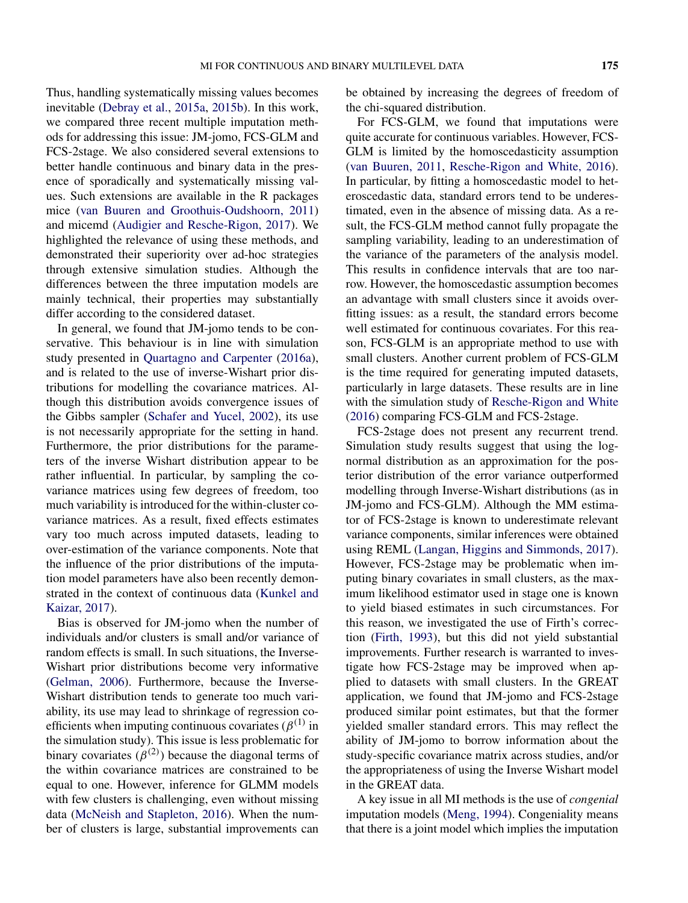Thus, handling systematically missing values becomes inevitable [\(Debray et al.,](#page-21-0) [2015a,](#page-21-0) [2015b\)](#page-21-0). In this work, we compared three recent multiple imputation methods for addressing this issue: JM-jomo, FCS-GLM and FCS-2stage. We also considered several extensions to better handle continuous and binary data in the presence of sporadically and systematically missing values. Such extensions are available in the R packages mice [\(van Buuren and Groothuis-Oudshoorn, 2011\)](#page-23-0) and micemd [\(Audigier and Resche-Rigon, 2017\)](#page-21-0). We highlighted the relevance of using these methods, and demonstrated their superiority over ad-hoc strategies through extensive simulation studies. Although the differences between the three imputation models are mainly technical, their properties may substantially differ according to the considered dataset.

In general, we found that JM-jomo tends to be conservative. This behaviour is in line with simulation study presented in [Quartagno and Carpenter](#page-22-0) [\(2016a\)](#page-22-0), and is related to the use of inverse-Wishart prior distributions for modelling the covariance matrices. Although this distribution avoids convergence issues of the Gibbs sampler [\(Schafer and Yucel, 2002\)](#page-23-0), its use is not necessarily appropriate for the setting in hand. Furthermore, the prior distributions for the parameters of the inverse Wishart distribution appear to be rather influential. In particular, by sampling the covariance matrices using few degrees of freedom, too much variability is introduced for the within-cluster covariance matrices. As a result, fixed effects estimates vary too much across imputed datasets, leading to over-estimation of the variance components. Note that the influence of the prior distributions of the imputation model parameters have also been recently demonstrated in the context of continuous data [\(Kunkel and](#page-22-0) [Kaizar, 2017\)](#page-22-0).

Bias is observed for JM-jomo when the number of individuals and/or clusters is small and/or variance of random effects is small. In such situations, the Inverse-Wishart prior distributions become very informative [\(Gelman, 2006\)](#page-22-0). Furthermore, because the Inverse-Wishart distribution tends to generate too much variability, its use may lead to shrinkage of regression coefficients when imputing continuous covariates ( $\beta$ <sup>(1)</sup> in the simulation study). This issue is less problematic for binary covariates  $(\beta^{(2)})$  because the diagonal terms of the within covariance matrices are constrained to be equal to one. However, inference for GLMM models with few clusters is challenging, even without missing data [\(McNeish and Stapleton, 2016\)](#page-22-0). When the number of clusters is large, substantial improvements can

be obtained by increasing the degrees of freedom of the chi-squared distribution.

For FCS-GLM, we found that imputations were quite accurate for continuous variables. However, FCS-GLM is limited by the homoscedasticity assumption [\(van Buuren, 2011,](#page-23-0) [Resche-Rigon and White, 2016\)](#page-22-0). In particular, by fitting a homoscedastic model to heteroscedastic data, standard errors tend to be underestimated, even in the absence of missing data. As a result, the FCS-GLM method cannot fully propagate the sampling variability, leading to an underestimation of the variance of the parameters of the analysis model. This results in confidence intervals that are too narrow. However, the homoscedastic assumption becomes an advantage with small clusters since it avoids overfitting issues: as a result, the standard errors become well estimated for continuous covariates. For this reason, FCS-GLM is an appropriate method to use with small clusters. Another current problem of FCS-GLM is the time required for generating imputed datasets, particularly in large datasets. These results are in line with the simulation study of [Resche-Rigon and White](#page-22-0) [\(2016\)](#page-22-0) comparing FCS-GLM and FCS-2stage.

FCS-2stage does not present any recurrent trend. Simulation study results suggest that using the lognormal distribution as an approximation for the posterior distribution of the error variance outperformed modelling through Inverse-Wishart distributions (as in JM-jomo and FCS-GLM). Although the MM estimator of FCS-2stage is known to underestimate relevant variance components, similar inferences were obtained using REML [\(Langan, Higgins and Simmonds, 2017\)](#page-22-0). However, FCS-2stage may be problematic when imputing binary covariates in small clusters, as the maximum likelihood estimator used in stage one is known to yield biased estimates in such circumstances. For this reason, we investigated the use of Firth's correction [\(Firth, 1993\)](#page-22-0), but this did not yield substantial improvements. Further research is warranted to investigate how FCS-2stage may be improved when applied to datasets with small clusters. In the GREAT application, we found that JM-jomo and FCS-2stage produced similar point estimates, but that the former yielded smaller standard errors. This may reflect the ability of JM-jomo to borrow information about the study-specific covariance matrix across studies, and/or the appropriateness of using the Inverse Wishart model in the GREAT data.

A key issue in all MI methods is the use of *congenial* imputation models [\(Meng, 1994\)](#page-22-0). Congeniality means that there is a joint model which implies the imputation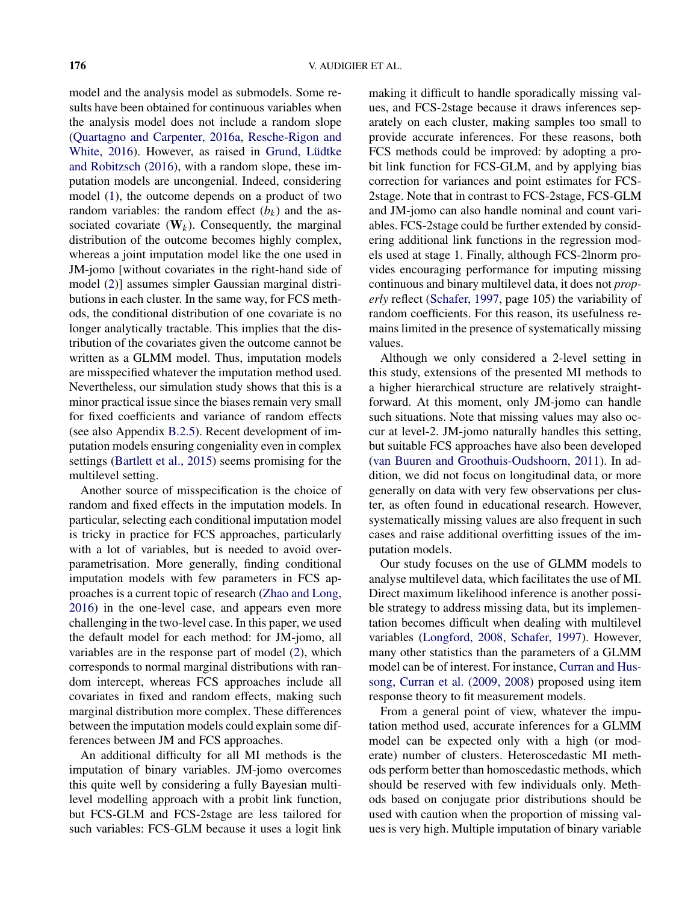model and the analysis model as submodels. Some results have been obtained for continuous variables when the analysis model does not include a random slope [\(Quartagno and Carpenter, 2016a,](#page-22-0) [Resche-Rigon and](#page-22-0) [White, 2016\)](#page-22-0). However, as raised in [Grund, Lüdtke](#page-22-0) [and Robitzsch](#page-22-0) [\(2016\)](#page-22-0), with a random slope, these imputation models are uncongenial. Indeed, considering model [\(1\)](#page-3-0), the outcome depends on a product of two random variables: the random effect  $(b_k)$  and the associated covariate  $(\mathbf{W}_k)$ . Consequently, the marginal distribution of the outcome becomes highly complex, whereas a joint imputation model like the one used in JM-jomo [without covariates in the right-hand side of model [\(2\)](#page-3-0)] assumes simpler Gaussian marginal distributions in each cluster. In the same way, for FCS methods, the conditional distribution of one covariate is no longer analytically tractable. This implies that the distribution of the covariates given the outcome cannot be written as a GLMM model. Thus, imputation models are misspecified whatever the imputation method used. Nevertheless, our simulation study shows that this is a minor practical issue since the biases remain very small for fixed coefficients and variance of random effects (see also Appendix [B.2.5\)](#page-18-0). Recent development of imputation models ensuring congeniality even in complex settings [\(Bartlett et al., 2015\)](#page-21-0) seems promising for the multilevel setting.

Another source of misspecification is the choice of random and fixed effects in the imputation models. In particular, selecting each conditional imputation model is tricky in practice for FCS approaches, particularly with a lot of variables, but is needed to avoid overparametrisation. More generally, finding conditional imputation models with few parameters in FCS approaches is a current topic of research [\(Zhao and Long,](#page-23-0) [2016\)](#page-23-0) in the one-level case, and appears even more challenging in the two-level case. In this paper, we used the default model for each method: for JM-jomo, all variables are in the response part of model [\(2\)](#page-3-0), which corresponds to normal marginal distributions with random intercept, whereas FCS approaches include all covariates in fixed and random effects, making such marginal distribution more complex. These differences between the imputation models could explain some differences between JM and FCS approaches.

An additional difficulty for all MI methods is the imputation of binary variables. JM-jomo overcomes this quite well by considering a fully Bayesian multilevel modelling approach with a probit link function, but FCS-GLM and FCS-2stage are less tailored for such variables: FCS-GLM because it uses a logit link making it difficult to handle sporadically missing values, and FCS-2stage because it draws inferences separately on each cluster, making samples too small to provide accurate inferences. For these reasons, both FCS methods could be improved: by adopting a probit link function for FCS-GLM, and by applying bias correction for variances and point estimates for FCS-2stage. Note that in contrast to FCS-2stage, FCS-GLM and JM-jomo can also handle nominal and count variables. FCS-2stage could be further extended by considering additional link functions in the regression models used at stage 1. Finally, although FCS-2lnorm provides encouraging performance for imputing missing continuous and binary multilevel data, it does not *properly* reflect [\(Schafer, 1997,](#page-23-0) page 105) the variability of random coefficients. For this reason, its usefulness remains limited in the presence of systematically missing values.

Although we only considered a 2-level setting in this study, extensions of the presented MI methods to a higher hierarchical structure are relatively straightforward. At this moment, only JM-jomo can handle such situations. Note that missing values may also occur at level-2. JM-jomo naturally handles this setting, but suitable FCS approaches have also been developed [\(van Buuren and Groothuis-Oudshoorn, 2011\)](#page-23-0). In addition, we did not focus on longitudinal data, or more generally on data with very few observations per cluster, as often found in educational research. However, systematically missing values are also frequent in such cases and raise additional overfitting issues of the imputation models.

Our study focuses on the use of GLMM models to analyse multilevel data, which facilitates the use of MI. Direct maximum likelihood inference is another possible strategy to address missing data, but its implementation becomes difficult when dealing with multilevel variables [\(Longford, 2008,](#page-22-0) [Schafer, 1997\)](#page-23-0). However, many other statistics than the parameters of a GLMM model can be of interest. For instance, [Curran and Hus](#page-21-0)[song, Curran et al.](#page-21-0) [\(2009, 2008\)](#page-21-0) proposed using item response theory to fit measurement models.

From a general point of view, whatever the imputation method used, accurate inferences for a GLMM model can be expected only with a high (or moderate) number of clusters. Heteroscedastic MI methods perform better than homoscedastic methods, which should be reserved with few individuals only. Methods based on conjugate prior distributions should be used with caution when the proportion of missing values is very high. Multiple imputation of binary variable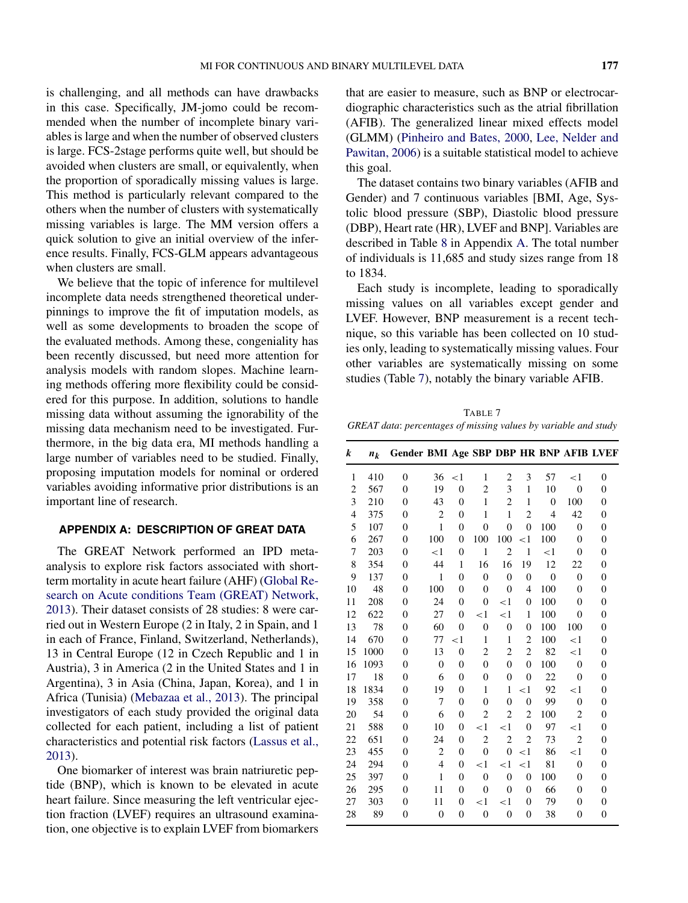<span id="page-17-0"></span>is challenging, and all methods can have drawbacks in this case. Specifically, JM-jomo could be recommended when the number of incomplete binary variables is large and when the number of observed clusters is large. FCS-2stage performs quite well, but should be avoided when clusters are small, or equivalently, when the proportion of sporadically missing values is large. This method is particularly relevant compared to the others when the number of clusters with systematically missing variables is large. The MM version offers a quick solution to give an initial overview of the inference results. Finally, FCS-GLM appears advantageous when clusters are small.

We believe that the topic of inference for multilevel incomplete data needs strengthened theoretical underpinnings to improve the fit of imputation models, as well as some developments to broaden the scope of the evaluated methods. Among these, congeniality has been recently discussed, but need more attention for analysis models with random slopes. Machine learning methods offering more flexibility could be considered for this purpose. In addition, solutions to handle missing data without assuming the ignorability of the missing data mechanism need to be investigated. Furthermore, in the big data era, MI methods handling a large number of variables need to be studied. Finally, proposing imputation models for nominal or ordered variables avoiding informative prior distributions is an important line of research.

# **APPENDIX A: DESCRIPTION OF GREAT DATA**

The GREAT Network performed an IPD metaanalysis to explore risk factors associated with shortterm mortality in acute heart failure (AHF) [\(Global Re](#page-22-0)[search on Acute conditions Team \(GREAT\) Network,](#page-22-0) [2013\)](#page-22-0). Their dataset consists of 28 studies: 8 were carried out in Western Europe (2 in Italy, 2 in Spain, and 1 in each of France, Finland, Switzerland, Netherlands), 13 in Central Europe (12 in Czech Republic and 1 in Austria), 3 in America (2 in the United States and 1 in Argentina), 3 in Asia (China, Japan, Korea), and 1 in Africa (Tunisia) [\(Mebazaa et al., 2013\)](#page-22-0). The principal investigators of each study provided the original data collected for each patient, including a list of patient characteristics and potential risk factors [\(Lassus et al.,](#page-22-0) [2013\)](#page-22-0).

One biomarker of interest was brain natriuretic peptide (BNP), which is known to be elevated in acute heart failure. Since measuring the left ventricular ejection fraction (LVEF) requires an ultrasound examination, one objective is to explain LVEF from biomarkers

that are easier to measure, such as BNP or electrocardiographic characteristics such as the atrial fibrillation (AFIB). The generalized linear mixed effects model (GLMM) [\(Pinheiro and Bates, 2000,](#page-22-0) [Lee, Nelder and](#page-22-0) [Pawitan, 2006\)](#page-22-0) is a suitable statistical model to achieve this goal.

The dataset contains two binary variables (AFIB and Gender) and 7 continuous variables [BMI, Age, Systolic blood pressure (SBP), Diastolic blood pressure (DBP), Heart rate (HR), LVEF and BNP]. Variables are described in Table [8](#page-18-0) in Appendix A. The total number of individuals is 11,685 and study sizes range from 18 to 1834.

Each study is incomplete, leading to sporadically missing values on all variables except gender and LVEF. However, BNP measurement is a recent technique, so this variable has been collected on 10 studies only, leading to systematically missing values. Four other variables are systematically missing on some studies (Table 7), notably the binary variable AFIB.

TABLE 7 *GREAT data*: *percentages of missing values by variable and study*

| k              | $n_k$ | Gender BMI Age SBP DBP HR BNP AFIB LVEF |                |                |                  |                |                  |                |                  |                  |
|----------------|-------|-----------------------------------------|----------------|----------------|------------------|----------------|------------------|----------------|------------------|------------------|
| 1              | 410   | $\overline{0}$                          | 36             | <1             | 1                | 2              | 3                | 57             | $<$ 1            | $\overline{0}$   |
| $\overline{c}$ | 567   | $\overline{0}$                          | 19             | $\overline{0}$ | $\overline{c}$   | 3              | 1                | 10             | $\overline{0}$   | $\theta$         |
| 3              | 210   | $\overline{0}$                          | 43             | $\overline{0}$ | $\mathbf{1}$     | $\overline{2}$ | 1                | $\overline{0}$ | 100              | $\theta$         |
| 4              | 375   | $\overline{0}$                          | $\overline{2}$ | $\mathbf{0}$   | $\mathbf{1}$     | $\mathbf{1}$   | $\overline{2}$   | 4              | 42               | $\boldsymbol{0}$ |
| 5              | 107   | $\overline{0}$                          | $\mathbf{1}$   | $\mathbf{0}$   | $\overline{0}$   | $\overline{0}$ | $\overline{0}$   | 100            | $\overline{0}$   | $\boldsymbol{0}$ |
| 6              | 267   | $\overline{0}$                          | 100            | $\mathbf{0}$   | 100              | 100            | <1               | 100            | $\overline{0}$   | $\overline{0}$   |
| 7              | 203   | 0                                       | $\leq$ 1       | $\overline{0}$ | $\mathbf{1}$     | $\overline{2}$ | $\mathbf{1}$     | $<$ 1          | $\theta$         | $\overline{0}$   |
| 8              | 354   | $\overline{0}$                          | 44             | 1              | 16               | 16             | 19               | 12             | 22               | $\overline{0}$   |
| 9              | 137   | $\overline{0}$                          | $\mathbf{1}$   | $\overline{0}$ | $\overline{0}$   | $\overline{0}$ | $\overline{0}$   | $\overline{0}$ | $\overline{0}$   | $\overline{0}$   |
| 10             | 48    | 0                                       | 100            | $\overline{0}$ | $\boldsymbol{0}$ | $\overline{0}$ | 4                | 100            | $\overline{0}$   | $\overline{0}$   |
| 11             | 208   | 0                                       | 24             | $\overline{0}$ | $\boldsymbol{0}$ | <1             | $\boldsymbol{0}$ | 100            | $\overline{0}$   | $\boldsymbol{0}$ |
| 12             | 622   | 0                                       | 27             | $\mathbf{0}$   | <1               | <1             | 1                | 100            | $\overline{0}$   | $\overline{0}$   |
| 13             | 78    | $\overline{0}$                          | 60             | $\overline{0}$ | $\mathbf{0}$     | $\overline{0}$ | $\overline{0}$   | 100            | 100              | $\theta$         |
| 14             | 670   | $\overline{0}$                          | 77             | $<$ 1          | $\mathbf{1}$     | 1              | 2                | 100            | <1               | $\theta$         |
| 15             | 1000  | $\overline{0}$                          | 13             | $\overline{0}$ | $\overline{c}$   | 2              | 2                | 82             | $<$ 1            | $\overline{0}$   |
| 16             | 1093  | 0                                       | $\overline{0}$ | $\overline{0}$ | $\boldsymbol{0}$ | $\overline{0}$ | $\overline{0}$   | 100            | $\boldsymbol{0}$ | $\boldsymbol{0}$ |
| 17             | 18    | $\overline{0}$                          | 6              | $\overline{0}$ | $\boldsymbol{0}$ | 0              | $\overline{0}$   | 22             | $\boldsymbol{0}$ | $\overline{0}$   |
| 18             | 1834  | $\overline{0}$                          | 19             | $\overline{0}$ | 1                | 1              | <1               | 92             | $<$ 1            | $\overline{0}$   |
| 19             | 358   | $\overline{0}$                          | 7              | $\overline{0}$ | $\overline{0}$   | $\overline{0}$ | $\overline{0}$   | 99             | $\overline{0}$   | $\boldsymbol{0}$ |
| 20             | 54    | $\overline{0}$                          | 6              | $\overline{0}$ | $\overline{2}$   | 2              | 2                | 100            | $\overline{2}$   | $\boldsymbol{0}$ |
| 21             | 588   | 0                                       | 10             | $\overline{0}$ | $\leq$ 1         | <1             | $\overline{0}$   | 97             | <1               | $\boldsymbol{0}$ |
| 22             | 651   | $\overline{0}$                          | 24             | $\overline{0}$ | $\overline{c}$   | $\overline{c}$ | $\overline{2}$   | 73             | $\overline{c}$   | $\overline{0}$   |
| 23             | 455   | $\overline{0}$                          | $\overline{2}$ | $\overline{0}$ | $\overline{0}$   | $\overline{0}$ | <1               | 86             | <1               | $\overline{0}$   |
| 24             | 294   | $\overline{0}$                          | 4              | $\overline{0}$ | <1               | <1             | <1               | 81             | $\overline{0}$   | $\boldsymbol{0}$ |
| 25             | 397   | 0                                       | $\mathbf{1}$   | $\overline{0}$ | $\mathbf{0}$     | $\overline{0}$ | $\mathbf{0}$     | 100            | 0                | $\boldsymbol{0}$ |
| 26             | 295   | 0                                       | 11             | $\overline{0}$ | $\overline{0}$   | $\overline{0}$ | $\overline{0}$   | 66             | $\theta$         | $\overline{0}$   |
| 27             | 303   | $\overline{0}$                          | 11             | $\overline{0}$ | <1               | <1             | $\overline{0}$   | 79             | $\overline{0}$   | $\overline{0}$   |
| 28             | 89    | $\overline{0}$                          | $\overline{0}$ | $\overline{0}$ | $\mathbf{0}$     | $\overline{0}$ | $\boldsymbol{0}$ | 38             | 0                | $\overline{0}$   |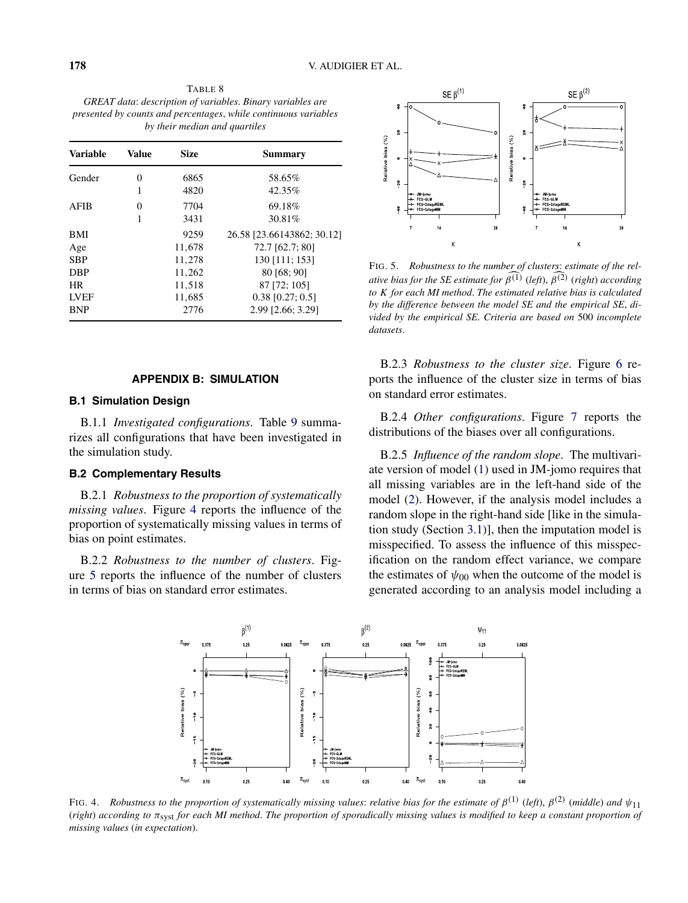<span id="page-18-0"></span>TABLE 8 *GREAT data*: *description of variables*. *Binary variables are presented by counts and percentages*, *while continuous variables by their median and quartiles*

| Variable    | Value | Size   | <b>Summary</b>             |
|-------------|-------|--------|----------------------------|
| Gender      | 0     | 6865   | 58.65%                     |
|             | 1     | 4820   | 42.35%                     |
| AFIB        | 0     | 7704   | 69.18%                     |
|             | 1     | 3431   | 30.81%                     |
| <b>BMI</b>  |       | 9259   | 26.58 [23.66143862; 30.12] |
| Age         |       | 11,678 | 72.7 [62.7; 80]            |
| <b>SBP</b>  |       | 11,278 | 130 [111; 153]             |
| <b>DBP</b>  |       | 11,262 | 80 [68; 90]                |
| <b>HR</b>   |       | 11,518 | 87 [72; 105]               |
| <b>LVEF</b> |       | 11,685 | $0.38$ [0.27; 0.5]         |
| <b>BNP</b>  |       | 2776   | 2.99 [2.66; 3.29]          |

# **APPENDIX B: SIMULATION**

# **B.1 Simulation Design**

B.1.1 *Investigated configurations*. Table [9](#page-20-0) summarizes all configurations that have been investigated in the simulation study.

# **B.2 Complementary Results**

B.2.1 *Robustness to the proportion of systematically missing values*. Figure 4 reports the influence of the proportion of systematically missing values in terms of bias on point estimates.

B.2.2 *Robustness to the number of clusters*. Figure 5 reports the influence of the number of clusters in terms of bias on standard error estimates.



FIG. 5. *Robustness to the number of clusters*: *estimate of the relative bias for the SE estimate for*  $\beta^{(1)}$  (*left*),  $\beta^{(2)}$  (*right*) *according to K for each MI method*. *The estimated relative bias is calculated by the difference between the model SE and the empirical SE*, *divided by the empirical SE*. *Criteria are based on* 500 *incomplete datasets*.

B.2.3 *Robustness to the cluster size*. Figure [6](#page-19-0) reports the influence of the cluster size in terms of bias on standard error estimates.

B.2.4 *Other configurations*. Figure [7](#page-19-0) reports the distributions of the biases over all configurations.

B.2.5 *Influence of the random slope*. The multivariate version of model [\(1\)](#page-3-0) used in JM-jomo requires that all missing variables are in the left-hand side of the model [\(2\)](#page-3-0). However, if the analysis model includes a random slope in the right-hand side [like in the simulation study (Section [3.1\)](#page-7-0)], then the imputation model is misspecified. To assess the influence of this misspecification on the random effect variance, we compare the estimates of  $\psi_{00}$  when the outcome of the model is generated according to an analysis model including a



FIG. 4. *Robustness to the proportion of systematically missing values: <i>relative bias for the estimate of*  $\beta^{(1)}$  (*left*),  $\beta^{(2)}$  (*middle*) *and*  $\psi_{11}$ (*right*) *according to π*syst *for each MI method*. *The proportion of sporadically missing values is modified to keep a constant proportion of missing values* (*in expectation*).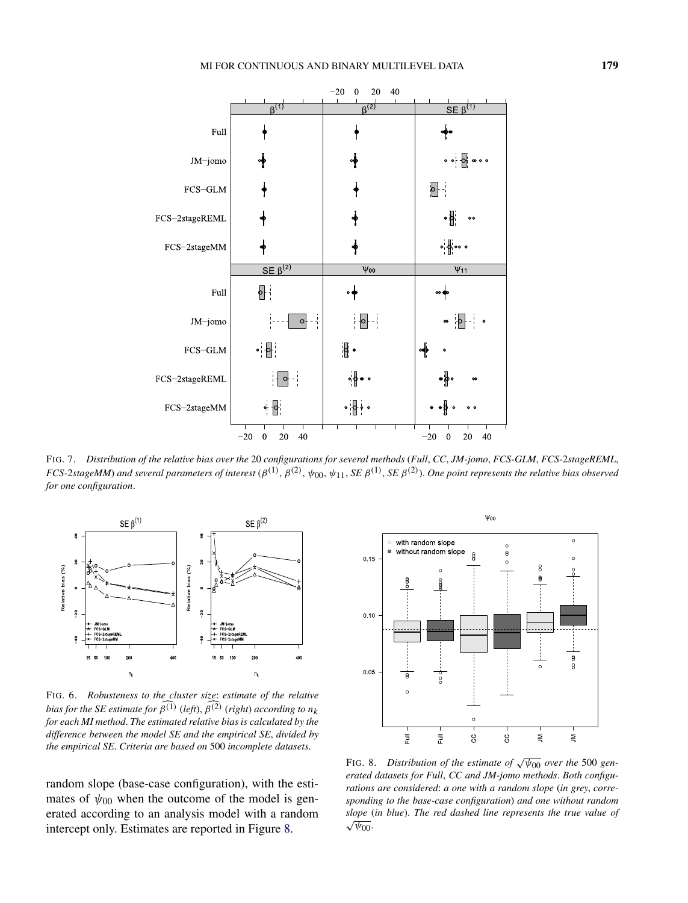<span id="page-19-0"></span>

FIG. 7. *Distribution of the relative bias over the* 20 *configurations for several methods* (*Full*, *CC*, *JM-jomo*, *FCS-GLM*, *FCS-*2*stageREML*, FCS-2stageMM) and several parameters of interest ( $\beta^{(1)}, \beta^{(2)}, \psi_{00}, \psi_{11}$ , SE  $\beta^{(1)}$ , SE  $\beta^{(2)}$ ). One point represents the relative bias observed *for one configuration*.



FIG. 6. *Robusteness to the cluster size*: *estimate of the relative bias for the SE estimate for*  $\beta^{(1)}$  (*left*),  $\beta^{(2)}$  (*right*) *according to*  $n_k$ *for each MI method*. *The estimated relative bias is calculated by the difference between the model SE and the empirical SE*, *divided by the empirical SE*. *Criteria are based on* 500 *incomplete datasets*.

random slope (base-case configuration), with the estimates of  $\psi_{00}$  when the outcome of the model is generated according to an analysis model with a random intercept only. Estimates are reported in Figure 8.



FIG. 8. *Distribution of the estimate of*  $\sqrt{\psi_{00}}$  *over the* 500 *generated datasets for Full*, *CC and JM-jomo methods*. *Both configurations are considered*: *a one with a random slope* (*in grey*, *corresponding to the base-case configuration*) *and one without random slope* (*in blue*). *The red dashed line represents the true value of*  $\sqrt{\psi_{00}}$ .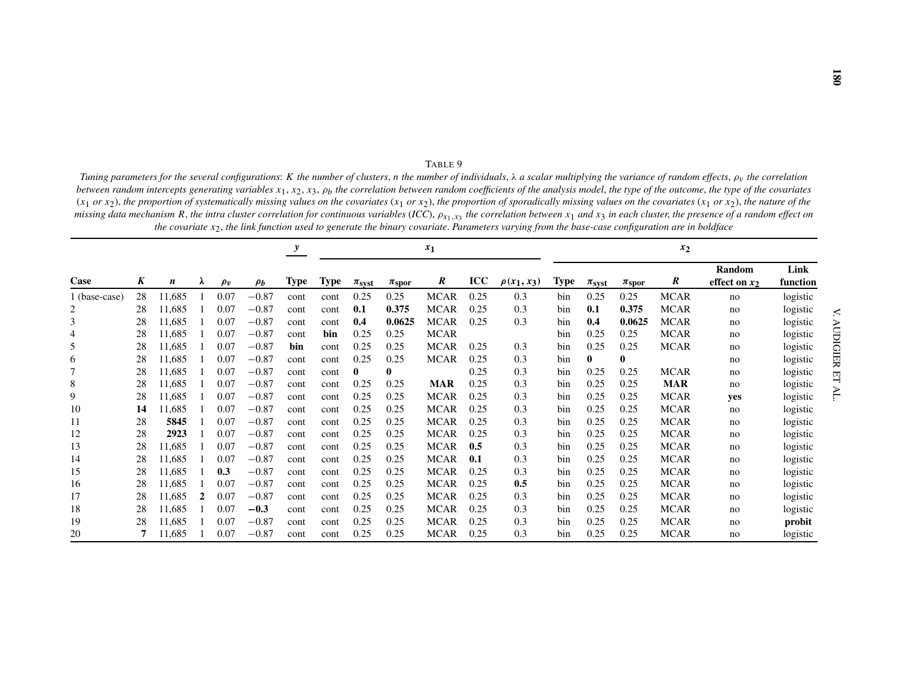<span id="page-20-0"></span>

| missing data mechanism R, the intra cluster correlation for continuous variables (ICC), $\rho_{x_1,x_3}$ the correlation between $x_1$ and $x_3$ in each cluster, the presence of a random effect on |    |        |                |          |          | y           |             |              |                     | $x_1$            |      | the covariate $x_2$ , the link function used to generate the binary covariate. Parameters varying from the base-case configuration are in boldface |             |              |                     | $x_2$            |                           |                  |
|------------------------------------------------------------------------------------------------------------------------------------------------------------------------------------------------------|----|--------|----------------|----------|----------|-------------|-------------|--------------|---------------------|------------------|------|----------------------------------------------------------------------------------------------------------------------------------------------------|-------------|--------------|---------------------|------------------|---------------------------|------------------|
| Case                                                                                                                                                                                                 | K  | n      | λ              | $\rho_v$ | $\rho_b$ | <b>Type</b> | <b>Type</b> | $\pi_{syst}$ | $\pi_{\text{spor}}$ | $\boldsymbol{R}$ | ICC  | $\rho(x_1, x_3)$                                                                                                                                   | <b>Type</b> | $\pi_{syst}$ | $\pi_{\text{spor}}$ | $\boldsymbol{R}$ | Random<br>effect on $x_2$ | Link<br>function |
| 1 (base-case)                                                                                                                                                                                        | 28 | 11,685 |                | 0.07     | $-0.87$  | cont        | cont        | 0.25         | 0.25                | <b>MCAR</b>      | 0.25 | 0.3                                                                                                                                                | bin         | 0.25         | 0.25                | <b>MCAR</b>      | no                        | logistic         |
| 2                                                                                                                                                                                                    | 28 | 11,685 |                | 0.07     | $-0.87$  | cont        | cont        | 0.1          | 0.375               | <b>MCAR</b>      | 0.25 | 0.3                                                                                                                                                | bin         | 0.1          | 0.375               | <b>MCAR</b>      | no                        | logistic         |
| 3                                                                                                                                                                                                    | 28 | 11,685 |                | 0.07     | $-0.87$  | cont        | cont        | 0.4          | 0.0625              | <b>MCAR</b>      | 0.25 | 0.3                                                                                                                                                | bin         | 0.4          | 0.0625              | <b>MCAR</b>      | no                        | logistic         |
| 4                                                                                                                                                                                                    | 28 | 11,685 |                | 0.07     | $-0.87$  | cont        | bin         | 0.25         | 0.25                | <b>MCAR</b>      |      |                                                                                                                                                    | bin         | 0.25         | 0.25                | <b>MCAR</b>      | no                        | logistic         |
| 5                                                                                                                                                                                                    | 28 | 11,685 |                | 0.07     | $-0.87$  | bin         | cont        | 0.25         | 0.25                | <b>MCAR</b>      | 0.25 | 0.3                                                                                                                                                | bin         | 0.25         | 0.25                | <b>MCAR</b>      | no                        | logistic         |
| 6                                                                                                                                                                                                    | 28 | 11,685 |                | 0.07     | $-0.87$  | cont        | cont        | 0.25         | 0.25                | <b>MCAR</b>      | 0.25 | 0.3                                                                                                                                                | bin         | $\bf{0}$     | $\bf{0}$            |                  | no                        | logistic         |
| 7                                                                                                                                                                                                    | 28 | 11,685 |                | 0.07     | $-0.87$  | cont        | cont        | $\bf{0}$     | 0                   |                  | 0.25 | 0.3                                                                                                                                                | bin         | 0.25         | 0.25                | <b>MCAR</b>      | no                        | logistic         |
| 8                                                                                                                                                                                                    | 28 | 11,685 |                | 0.07     | $-0.87$  | cont        | cont        | 0.25         | 0.25                | <b>MAR</b>       | 0.25 | 0.3                                                                                                                                                | bin         | 0.25         | 0.25                | <b>MAR</b>       | no                        | logistic         |
| 9                                                                                                                                                                                                    | 28 | 11.685 |                | 0.07     | $-0.87$  | cont        | cont        | 0.25         | 0.25                | <b>MCAR</b>      | 0.25 | 0.3                                                                                                                                                | bin         | 0.25         | 0.25                | <b>MCAR</b>      | yes                       | logistic         |
| 10                                                                                                                                                                                                   | 14 | 11,685 |                | 0.07     | $-0.87$  | cont        | cont        | 0.25         | 0.25                | <b>MCAR</b>      | 0.25 | 0.3                                                                                                                                                | bin         | 0.25         | 0.25                | <b>MCAR</b>      | no                        | logistic         |
| 11                                                                                                                                                                                                   | 28 | 5845   |                | 0.07     | $-0.87$  | cont        | cont        | 0.25         | 0.25                | <b>MCAR</b>      | 0.25 | 0.3                                                                                                                                                | bin         | 0.25         | 0.25                | <b>MCAR</b>      | no                        | logistic         |
| 12                                                                                                                                                                                                   | 28 | 2923   |                | 0.07     | $-0.87$  | cont        | cont        | 0.25         | 0.25                | <b>MCAR</b>      | 0.25 | 0.3                                                                                                                                                | bin         | 0.25         | 0.25                | <b>MCAR</b>      | no                        | logistic         |
| 13                                                                                                                                                                                                   | 28 | 11,685 |                | 0.07     | $-0.87$  | cont        | cont        | 0.25         | 0.25                | <b>MCAR</b>      | 0.5  | 0.3                                                                                                                                                | bin         | 0.25         | 0.25                | <b>MCAR</b>      | no                        | logistic         |
| 14                                                                                                                                                                                                   | 28 | 11,685 |                | 0.07     | $-0.87$  | cont        | cont        | 0.25         | 0.25                | <b>MCAR</b>      | 0.1  | 0.3                                                                                                                                                | bin         | 0.25         | 0.25                | <b>MCAR</b>      | no                        | logistic         |
| 15                                                                                                                                                                                                   | 28 | 11,685 |                | 0.3      | $-0.87$  | cont        | cont        | 0.25         | 0.25                | <b>MCAR</b>      | 0.25 | 0.3                                                                                                                                                | bin         | 0.25         | 0.25                | <b>MCAR</b>      | no                        | logistic         |
| 16                                                                                                                                                                                                   | 28 | 11,685 |                | 0.07     | $-0.87$  | cont        | cont        | 0.25         | 0.25                | <b>MCAR</b>      | 0.25 | 0.5                                                                                                                                                | bin         | 0.25         | 0.25                | <b>MCAR</b>      | no                        | logistic         |
| 17                                                                                                                                                                                                   | 28 | 11,685 | $\overline{2}$ | 0.07     | $-0.87$  | cont        | cont        | 0.25         | 0.25                | <b>MCAR</b>      | 0.25 | 0.3                                                                                                                                                | bin         | 0.25         | 0.25                | <b>MCAR</b>      | no                        | logistic         |
| 18                                                                                                                                                                                                   | 28 | 11,685 |                | 0.07     | $-0.3$   | cont        | cont        | 0.25         | 0.25                | <b>MCAR</b>      | 0.25 | 0.3                                                                                                                                                | bin         | 0.25         | 0.25                | <b>MCAR</b>      | no                        | logistic         |
| 19                                                                                                                                                                                                   | 28 | 11,685 |                | 0.07     | $-0.87$  | cont        | cont        | 0.25         | 0.25                | <b>MCAR</b>      | 0.25 | 0.3                                                                                                                                                | bin         | 0.25         | 0.25                | <b>MCAR</b>      | no                        | probit           |
| 20                                                                                                                                                                                                   | 7  | 11,685 |                | 0.07     | $-0.87$  | cont        | cont        | 0.25         | 0.25                | <b>MCAR</b>      | 0.25 | 0.3                                                                                                                                                | bin         | 0.25         | 0.25                | <b>MCAR</b>      | no                        | logistic         |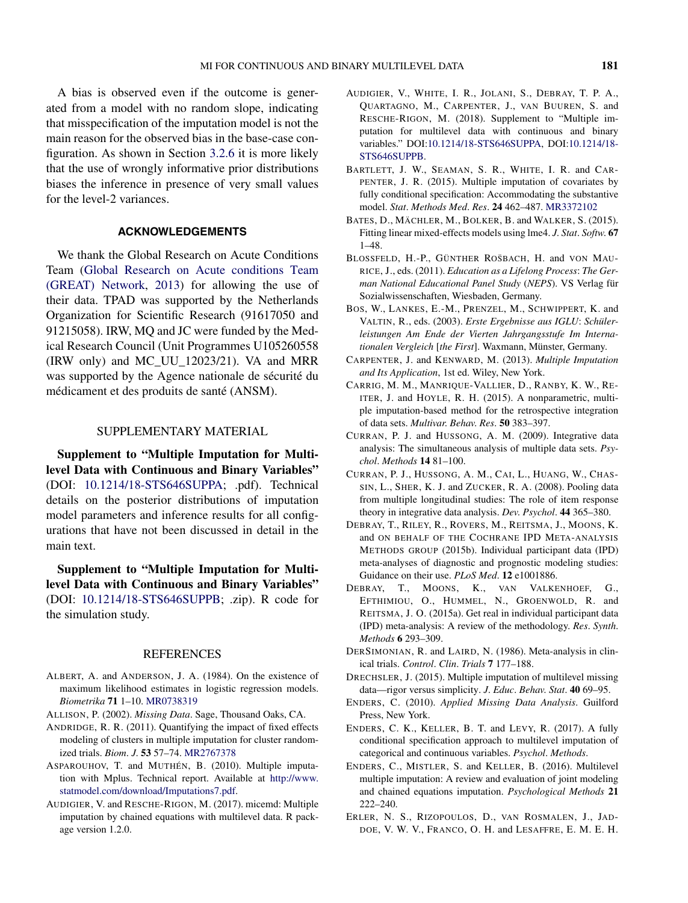<span id="page-21-0"></span>A bias is observed even if the outcome is generated from a model with no random slope, indicating that misspecification of the imputation model is not the main reason for the observed bias in the base-case configuration. As shown in Section [3.2.6](#page-12-0) it is more likely that the use of wrongly informative prior distributions biases the inference in presence of very small values for the level-2 variances.

# **ACKNOWLEDGEMENTS**

We thank the Global Research on Acute Conditions Team [\(Global Research on Acute conditions Team](#page-22-0) [\(GREAT\) Network,](#page-22-0) [2013\)](#page-22-0) for allowing the use of their data. TPAD was supported by the Netherlands Organization for Scientific Research (91617050 and 91215058). IRW, MQ and JC were funded by the Medical Research Council (Unit Programmes U105260558 (IRW only) and MC\_UU\_12023/21). VA and MRR was supported by the Agence nationale de sécurité du médicament et des produits de santé (ANSM).

# SUPPLEMENTARY MATERIAL

**Supplement to "Multiple Imputation for Multilevel Data with Continuous and Binary Variables"** (DOI: [10.1214/18-STS646SUPPA;](https://doi.org/10.1214/18-STS646SUPPA) .pdf). Technical details on the posterior distributions of imputation model parameters and inference results for all configurations that have not been discussed in detail in the main text.

**Supplement to "Multiple Imputation for Multilevel Data with Continuous and Binary Variables"** (DOI: [10.1214/18-STS646SUPPB;](https://doi.org/10.1214/18-STS646SUPPB) .zip). R code for the simulation study.

# REFERENCES

- ALBERT, A. and ANDERSON, J. A. (1984). On the existence of maximum likelihood estimates in logistic regression models. *Biometrika* **71** 1–10. [MR0738319](http://www.ams.org/mathscinet-getitem?mr=0738319)
- ALLISON, P. (2002). *Missing Data*. Sage, Thousand Oaks, CA.
- ANDRIDGE, R. R. (2011). Quantifying the impact of fixed effects modeling of clusters in multiple imputation for cluster randomized trials. *Biom*. *J*. **53** 57–74. [MR2767378](http://www.ams.org/mathscinet-getitem?mr=2767378)
- ASPAROUHOV, T. and MUTHÉN, B. (2010). Multiple imputation with Mplus. Technical report. Available at [http://www.](http://www.statmodel.com/download/Imputations7.pdf) [statmodel.com/download/Imputations7.pdf.](http://www.statmodel.com/download/Imputations7.pdf)
- AUDIGIER, V. and RESCHE-RIGON, M. (2017). micemd: Multiple imputation by chained equations with multilevel data. R package version 1.2.0.
- AUDIGIER, V., WHITE, I. R., JOLANI, S., DEBRAY, T. P. A., QUARTAGNO, M., CARPENTER, J., VAN BUUREN, S. and RESCHE-RIGON, M. (2018). Supplement to "Multiple imputation for multilevel data with continuous and binary variables." DOI[:10.1214/18-STS646SUPPA,](https://doi.org/10.1214/18-STS646SUPPA) DOI[:10.1214/18-](https://doi.org/10.1214/18-STS646SUPPB) [STS646SUPPB.](https://doi.org/10.1214/18-STS646SUPPB)
- BARTLETT, J. W., SEAMAN, S. R., WHITE, I. R. and CAR-PENTER, J. R. (2015). Multiple imputation of covariates by fully conditional specification: Accommodating the substantive model. *Stat*. *Methods Med*. *Res*. **24** 462–487. [MR3372102](http://www.ams.org/mathscinet-getitem?mr=3372102)
- BATES, D., MÄCHLER, M., BOLKER, B. and WALKER, S. (2015). Fitting linear mixed-effects models using lme4. *J*. *Stat*. *Softw*. **67** 1–48.
- BLOSSFELD, H.-P., GÜNTHER ROSBACH, H. and VON MAU-RICE, J., eds. (2011). *Education as a Lifelong Process*: *The German National Educational Panel Study* (*NEPS*). VS Verlag für Sozialwissenschaften, Wiesbaden, Germany.
- BOS, W., LANKES, E.-M., PRENZEL, M., SCHWIPPERT, K. and VALTIN, R., eds. (2003). *Erste Ergebnisse aus IGLU*: *Schülerleistungen Am Ende der Vierten Jahrgangsstufe Im Internationalen Vergleich* [*the First*]. Waxmann, Münster, Germany.
- CARPENTER, J. and KENWARD, M. (2013). *Multiple Imputation and Its Application*, 1st ed. Wiley, New York.
- CARRIG, M. M., MANRIQUE-VALLIER, D., RANBY, K. W., RE-ITER, J. and HOYLE, R. H. (2015). A nonparametric, multiple imputation-based method for the retrospective integration of data sets. *Multivar*. *Behav*. *Res*. **50** 383–397.
- CURRAN, P. J. and HUSSONG, A. M. (2009). Integrative data analysis: The simultaneous analysis of multiple data sets. *Psychol*. *Methods* **14** 81–100.
- CURRAN, P. J., HUSSONG, A. M., CAI, L., HUANG, W., CHAS-SIN, L., SHER, K. J. and ZUCKER, R. A. (2008). Pooling data from multiple longitudinal studies: The role of item response theory in integrative data analysis. *Dev*. *Psychol*. **44** 365–380.
- DEBRAY, T., RILEY, R., ROVERS, M., REITSMA, J., MOONS, K. and ON BEHALF OF THE COCHRANE IPD META-ANALYSIS METHODS GROUP (2015b). Individual participant data (IPD) meta-analyses of diagnostic and prognostic modeling studies: Guidance on their use. *PLoS Med*. **12** e1001886.
- DEBRAY, T., MOONS, K., VAN VALKENHOEF, G., EFTHIMIOU, O., HUMMEL, N., GROENWOLD, R. and REITSMA, J. O. (2015a). Get real in individual participant data (IPD) meta-analysis: A review of the methodology. *Res*. *Synth*. *Methods* **6** 293–309.
- DERSIMONIAN, R. and LAIRD, N. (1986). Meta-analysis in clinical trials. *Control*. *Clin*. *Trials* **7** 177–188.
- DRECHSLER, J. (2015). Multiple imputation of multilevel missing data—rigor versus simplicity. *J*. *Educ*. *Behav*. *Stat*. **40** 69–95.
- ENDERS, C. (2010). *Applied Missing Data Analysis*. Guilford Press, New York.
- ENDERS, C. K., KELLER, B. T. and LEVY, R. (2017). A fully conditional specification approach to multilevel imputation of categorical and continuous variables. *Psychol*. *Methods*.
- ENDERS, C., MISTLER, S. and KELLER, B. (2016). Multilevel multiple imputation: A review and evaluation of joint modeling and chained equations imputation. *Psychological Methods* **21** 222–240.
- ERLER, N. S., RIZOPOULOS, D., VAN ROSMALEN, J., JAD-DOE, V. W. V., FRANCO, O. H. and LESAFFRE, E. M. E. H.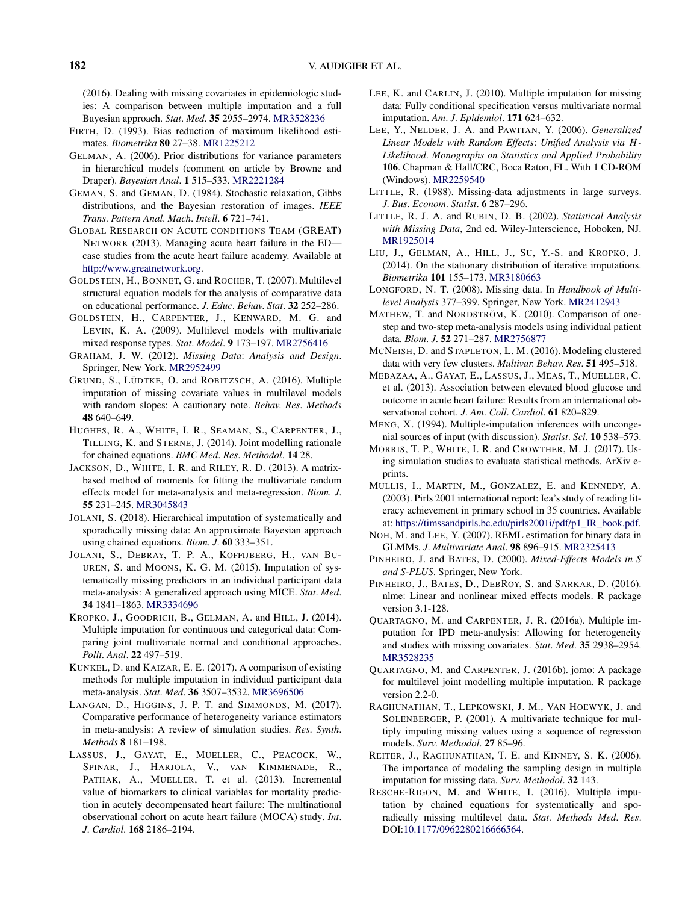<span id="page-22-0"></span>(2016). Dealing with missing covariates in epidemiologic studies: A comparison between multiple imputation and a full Bayesian approach. *Stat*. *Med*. **35** 2955–2974. [MR3528236](http://www.ams.org/mathscinet-getitem?mr=3528236)

- FIRTH, D. (1993). Bias reduction of maximum likelihood estimates. *Biometrika* **80** 27–38. [MR1225212](http://www.ams.org/mathscinet-getitem?mr=1225212)
- GELMAN, A. (2006). Prior distributions for variance parameters in hierarchical models (comment on article by Browne and Draper). *Bayesian Anal*. **1** 515–533. [MR2221284](http://www.ams.org/mathscinet-getitem?mr=2221284)
- GEMAN, S. and GEMAN, D. (1984). Stochastic relaxation, Gibbs distributions, and the Bayesian restoration of images. *IEEE Trans*. *Pattern Anal*. *Mach*. *Intell*. **6** 721–741.
- GLOBAL RESEARCH ON ACUTE CONDITIONS TEAM (GREAT) NETWORK (2013). Managing acute heart failure in the ED case studies from the acute heart failure academy. Available at <http://www.greatnetwork.org>.
- GOLDSTEIN, H., BONNET, G. and ROCHER, T. (2007). Multilevel structural equation models for the analysis of comparative data on educational performance. *J*. *Educ*. *Behav*. *Stat*. **32** 252–286.
- GOLDSTEIN, H., CARPENTER, J., KENWARD, M. G. and LEVIN, K. A. (2009). Multilevel models with multivariate mixed response types. *Stat*. *Model*. **9** 173–197. [MR2756416](http://www.ams.org/mathscinet-getitem?mr=2756416)
- GRAHAM, J. W. (2012). *Missing Data*: *Analysis and Design*. Springer, New York. [MR2952499](http://www.ams.org/mathscinet-getitem?mr=2952499)
- GRUND, S., LÜDTKE, O. and ROBITZSCH, A. (2016). Multiple imputation of missing covariate values in multilevel models with random slopes: A cautionary note. *Behav*. *Res*. *Methods* **48** 640–649.
- HUGHES, R. A., WHITE, I. R., SEAMAN, S., CARPENTER, J., TILLING, K. and STERNE, J. (2014). Joint modelling rationale for chained equations. *BMC Med*. *Res*. *Methodol*. **14** 28.
- JACKSON, D., WHITE, I. R. and RILEY, R. D. (2013). A matrixbased method of moments for fitting the multivariate random effects model for meta-analysis and meta-regression. *Biom*. *J*. **55** 231–245. [MR3045843](http://www.ams.org/mathscinet-getitem?mr=3045843)
- JOLANI, S. (2018). Hierarchical imputation of systematically and sporadically missing data: An approximate Bayesian approach using chained equations. *Biom*. *J*. **60** 333–351.
- JOLANI, S., DEBRAY, T. P. A., KOFFIJBERG, H., VAN BU-UREN, S. and MOONS, K. G. M. (2015). Imputation of systematically missing predictors in an individual participant data meta-analysis: A generalized approach using MICE. *Stat*. *Med*. **34** 1841–1863. [MR3334696](http://www.ams.org/mathscinet-getitem?mr=3334696)
- KROPKO, J., GOODRICH, B., GELMAN, A. and HILL, J. (2014). Multiple imputation for continuous and categorical data: Comparing joint multivariate normal and conditional approaches. *Polit*. *Anal*. **22** 497–519.
- KUNKEL, D. and KAIZAR, E. E. (2017). A comparison of existing methods for multiple imputation in individual participant data meta-analysis. *Stat*. *Med*. **36** 3507–3532. [MR3696506](http://www.ams.org/mathscinet-getitem?mr=3696506)
- LANGAN, D., HIGGINS, J. P. T. and SIMMONDS, M. (2017). Comparative performance of heterogeneity variance estimators in meta-analysis: A review of simulation studies. *Res*. *Synth*. *Methods* **8** 181–198.
- LASSUS, J., GAYAT, E., MUELLER, C., PEACOCK, W., SPINAR, J., HARJOLA, V., VAN KIMMENADE, R., PATHAK, A., MUELLER, T. et al. (2013). Incremental value of biomarkers to clinical variables for mortality prediction in acutely decompensated heart failure: The multinational observational cohort on acute heart failure (MOCA) study. *Int*. *J*. *Cardiol*. **168** 2186–2194.
- LEE, K. and CARLIN, J. (2010). Multiple imputation for missing data: Fully conditional specification versus multivariate normal imputation. *Am*. *J*. *Epidemiol*. **171** 624–632.
- LEE, Y., NELDER, J. A. and PAWITAN, Y. (2006). *Generalized Linear Models with Random Effects*: *Unified Analysis via H-Likelihood*. *Monographs on Statistics and Applied Probability* **106**. Chapman & Hall/CRC, Boca Raton, FL. With 1 CD-ROM (Windows). [MR2259540](http://www.ams.org/mathscinet-getitem?mr=2259540)
- LITTLE, R. (1988). Missing-data adjustments in large surveys. *J*. *Bus*. *Econom*. *Statist*. **6** 287–296.
- LITTLE, R. J. A. and RUBIN, D. B. (2002). *Statistical Analysis with Missing Data*, 2nd ed. Wiley-Interscience, Hoboken, NJ. [MR1925014](http://www.ams.org/mathscinet-getitem?mr=1925014)
- LIU, J., GELMAN, A., HILL, J., SU, Y.-S. and KROPKO, J. (2014). On the stationary distribution of iterative imputations. *Biometrika* **101** 155–173. [MR3180663](http://www.ams.org/mathscinet-getitem?mr=3180663)
- LONGFORD, N. T. (2008). Missing data. In *Handbook of Multilevel Analysis* 377–399. Springer, New York. [MR2412943](http://www.ams.org/mathscinet-getitem?mr=2412943)
- MATHEW, T. and NORDSTRÖM, K. (2010). Comparison of onestep and two-step meta-analysis models using individual patient data. *Biom*. *J*. **52** 271–287. [MR2756877](http://www.ams.org/mathscinet-getitem?mr=2756877)
- MCNEISH, D. and STAPLETON, L. M. (2016). Modeling clustered data with very few clusters. *Multivar*. *Behav*. *Res*. **51** 495–518.
- MEBAZAA, A., GAYAT, E., LASSUS, J., MEAS, T., MUELLER, C. et al. (2013). Association between elevated blood glucose and outcome in acute heart failure: Results from an international observational cohort. *J*. *Am*. *Coll*. *Cardiol*. **61** 820–829.
- MENG, X. (1994). Multiple-imputation inferences with uncongenial sources of input (with discussion). *Statist*. *Sci*. **10** 538–573.
- MORRIS, T. P., WHITE, I. R. and CROWTHER, M. J. (2017). Using simulation studies to evaluate statistical methods. ArXiv eprints.
- MULLIS, I., MARTIN, M., GONZALEZ, E. and KENNEDY, A. (2003). Pirls 2001 international report: Iea's study of reading literacy achievement in primary school in 35 countries. Available at: [https://timssandpirls.bc.edu/pirls2001i/pdf/p1\\_IR\\_book.pdf](https://timssandpirls.bc.edu/pirls2001i/pdf/p1_IR_book.pdf).
- NOH, M. and LEE, Y. (2007). REML estimation for binary data in GLMMs. *J*. *Multivariate Anal*. **98** 896–915. [MR2325413](http://www.ams.org/mathscinet-getitem?mr=2325413)
- PINHEIRO, J. and BATES, D. (2000). *Mixed-Effects Models in S and S-PLUS*. Springer, New York.
- PINHEIRO, J., BATES, D., DEBROY, S. and SARKAR, D. (2016). nlme: Linear and nonlinear mixed effects models. R package version 3.1-128.
- QUARTAGNO, M. and CARPENTER, J. R. (2016a). Multiple imputation for IPD meta-analysis: Allowing for heterogeneity and studies with missing covariates. *Stat*. *Med*. **35** 2938–2954. [MR3528235](http://www.ams.org/mathscinet-getitem?mr=3528235)
- QUARTAGNO, M. and CARPENTER, J. (2016b). jomo: A package for multilevel joint modelling multiple imputation. R package version 2.2-0.
- RAGHUNATHAN, T., LEPKOWSKI, J. M., VAN HOEWYK, J. and SOLENBERGER, P. (2001). A multivariate technique for multiply imputing missing values using a sequence of regression models. *Surv*. *Methodol*. **27** 85–96.
- REITER, J., RAGHUNATHAN, T. E. and KINNEY, S. K. (2006). The importance of modeling the sampling design in multiple imputation for missing data. *Surv*. *Methodol*. **32** 143.
- RESCHE-RIGON, M. and WHITE, I. (2016). Multiple imputation by chained equations for systematically and sporadically missing multilevel data. *Stat*. *Methods Med*. *Res*. DOI[:10.1177/0962280216666564](https://doi.org/10.1177/0962280216666564).